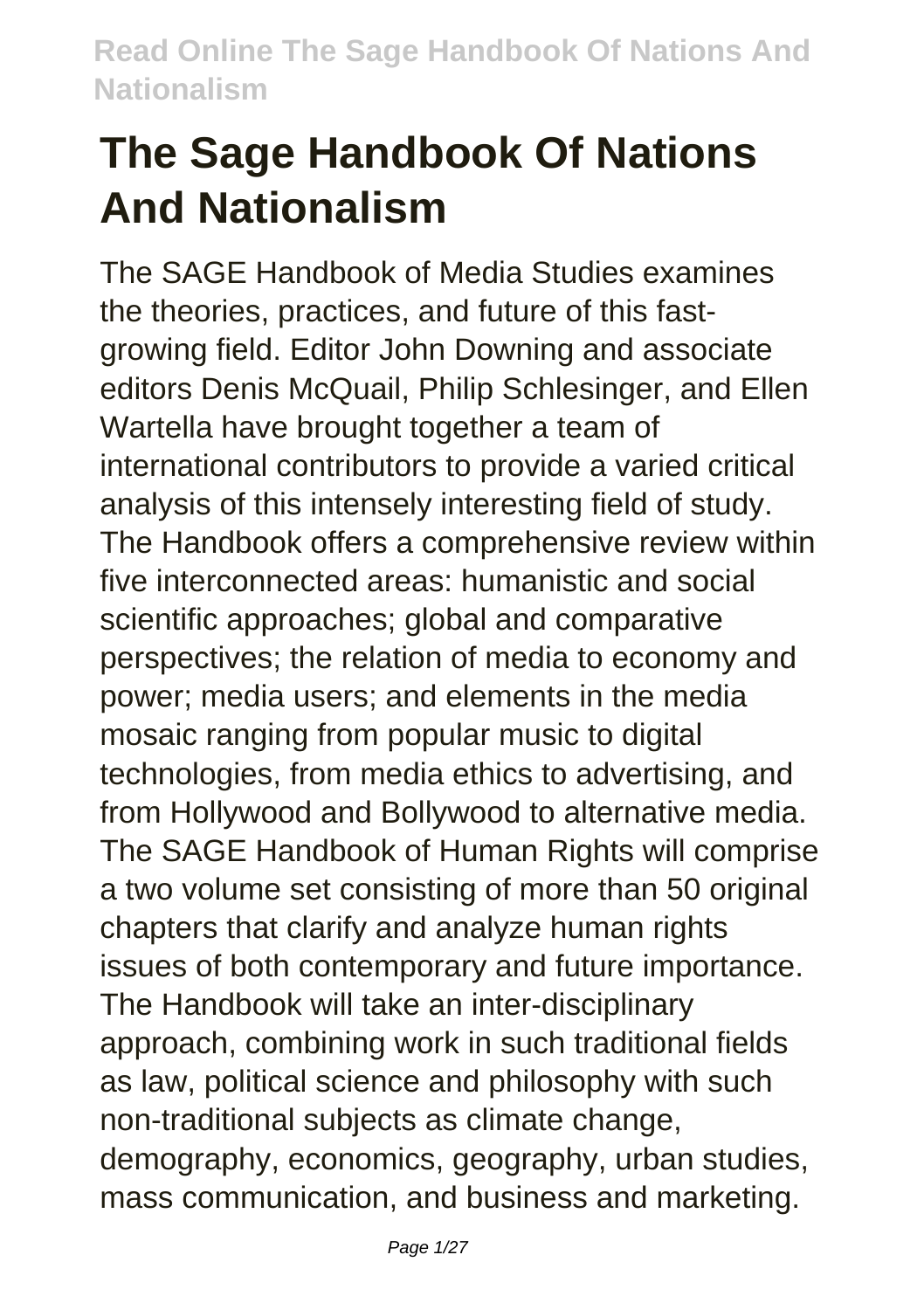# **The Sage Handbook Of Nations And Nationalism**

The SAGE Handbook of Media Studies examines the theories, practices, and future of this fastgrowing field. Editor John Downing and associate editors Denis McQuail, Philip Schlesinger, and Ellen Wartella have brought together a team of international contributors to provide a varied critical analysis of this intensely interesting field of study. The Handbook offers a comprehensive review within five interconnected areas: humanistic and social scientific approaches; global and comparative perspectives; the relation of media to economy and power; media users; and elements in the media mosaic ranging from popular music to digital technologies, from media ethics to advertising, and from Hollywood and Bollywood to alternative media. The SAGE Handbook of Human Rights will comprise a two volume set consisting of more than 50 original chapters that clarify and analyze human rights issues of both contemporary and future importance. The Handbook will take an inter-disciplinary approach, combining work in such traditional fields as law, political science and philosophy with such non-traditional subjects as climate change, demography, economics, geography, urban studies, mass communication, and business and marketing.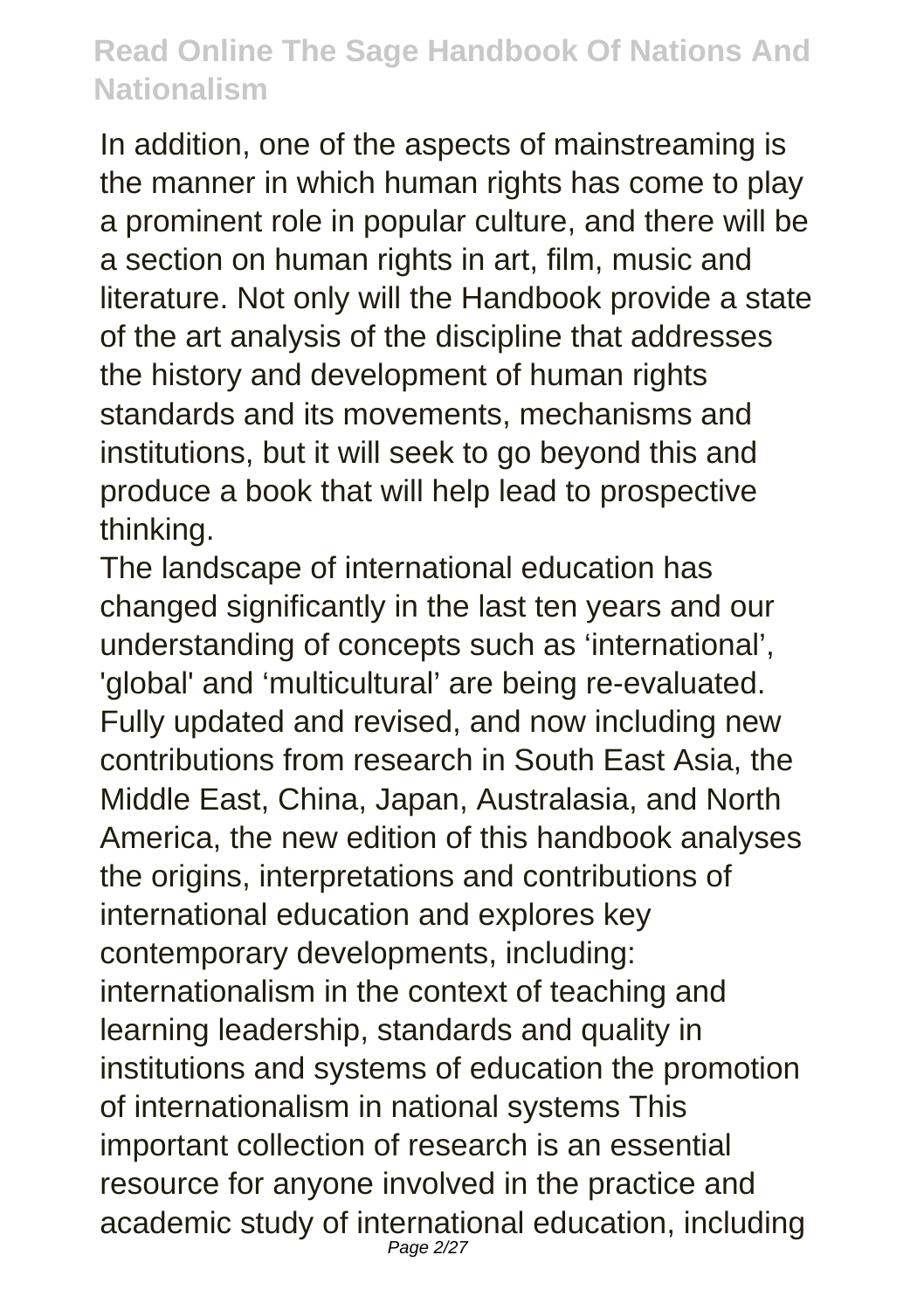In addition, one of the aspects of mainstreaming is the manner in which human rights has come to play a prominent role in popular culture, and there will be a section on human rights in art, film, music and literature. Not only will the Handbook provide a state of the art analysis of the discipline that addresses the history and development of human rights standards and its movements, mechanisms and institutions, but it will seek to go beyond this and produce a book that will help lead to prospective thinking.

The landscape of international education has changed significantly in the last ten years and our understanding of concepts such as 'international', 'global' and 'multicultural' are being re-evaluated. Fully updated and revised, and now including new contributions from research in South East Asia, the Middle East, China, Japan, Australasia, and North America, the new edition of this handbook analyses the origins, interpretations and contributions of international education and explores key contemporary developments, including: internationalism in the context of teaching and learning leadership, standards and quality in institutions and systems of education the promotion of internationalism in national systems This important collection of research is an essential resource for anyone involved in the practice and academic study of international education, including Page 2/27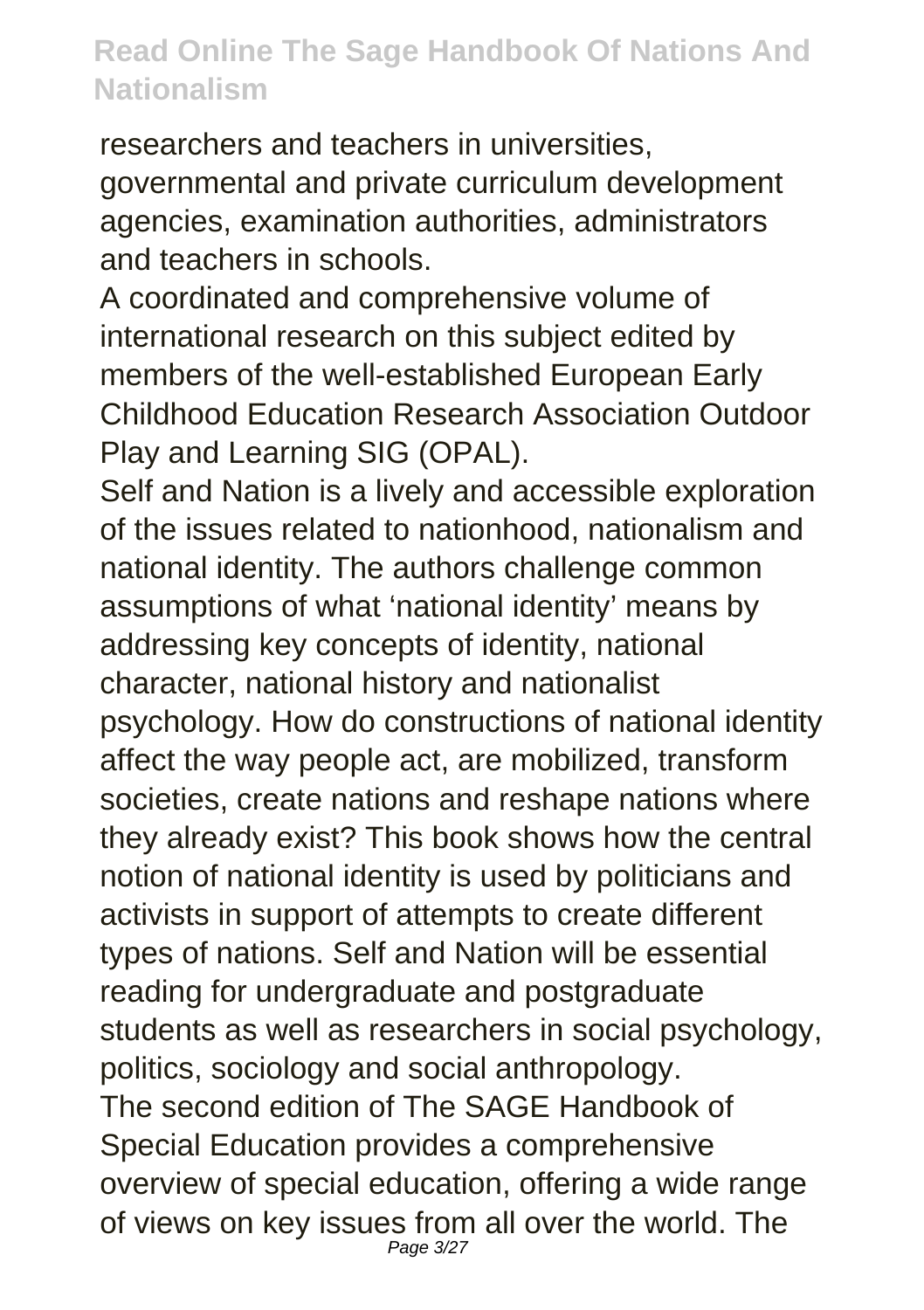researchers and teachers in universities, governmental and private curriculum development agencies, examination authorities, administrators and teachers in schools.

A coordinated and comprehensive volume of international research on this subject edited by members of the well-established European Early Childhood Education Research Association Outdoor Play and Learning SIG (OPAL).

Self and Nation is a lively and accessible exploration of the issues related to nationhood, nationalism and national identity. The authors challenge common assumptions of what 'national identity' means by addressing key concepts of identity, national character, national history and nationalist psychology. How do constructions of national identity affect the way people act, are mobilized, transform societies, create nations and reshape nations where they already exist? This book shows how the central notion of national identity is used by politicians and activists in support of attempts to create different types of nations. Self and Nation will be essential reading for undergraduate and postgraduate students as well as researchers in social psychology, politics, sociology and social anthropology. The second edition of The SAGE Handbook of Special Education provides a comprehensive overview of special education, offering a wide range of views on key issues from all over the world. The Page 3/27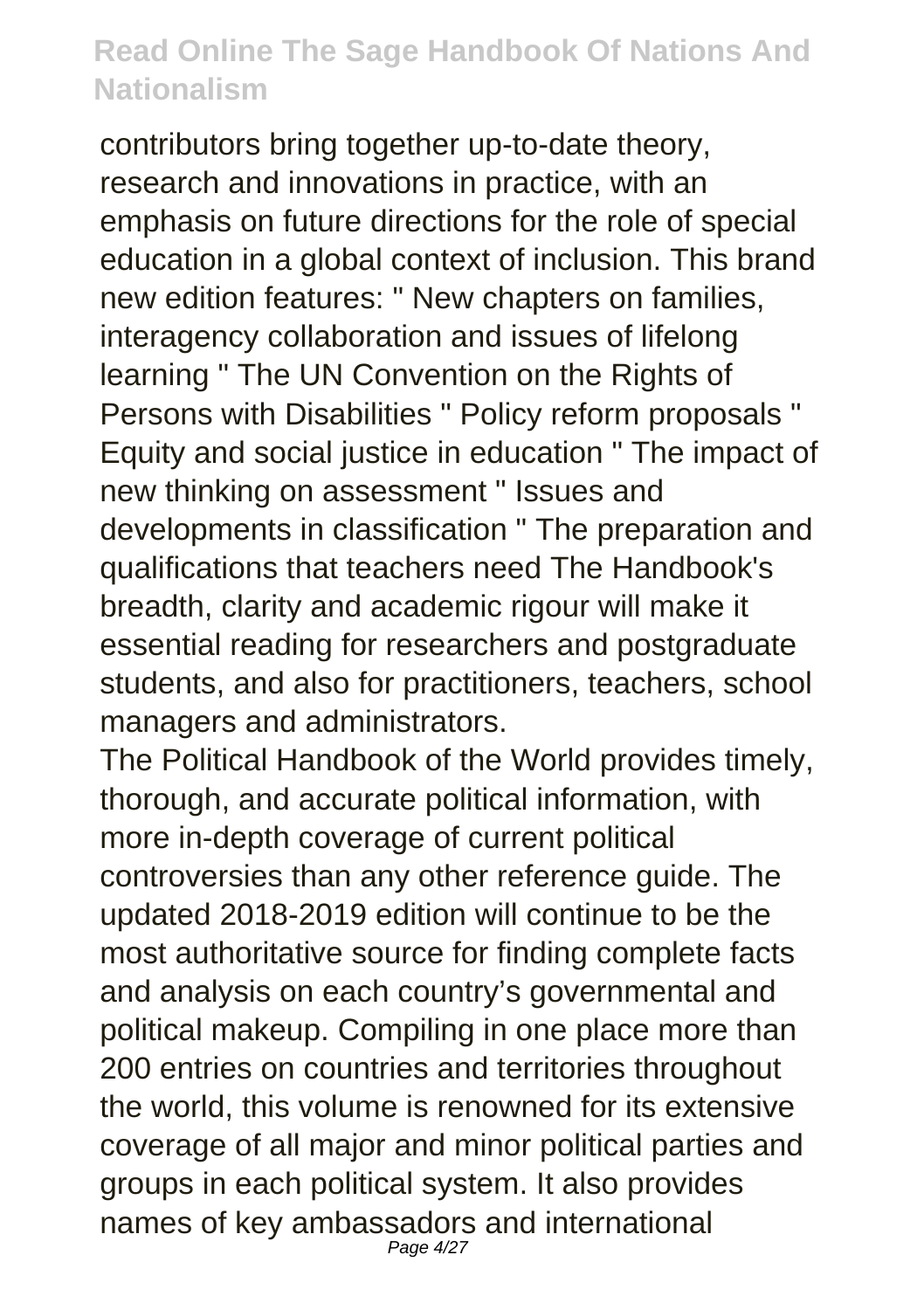contributors bring together up-to-date theory, research and innovations in practice, with an emphasis on future directions for the role of special education in a global context of inclusion. This brand new edition features: " New chapters on families, interagency collaboration and issues of lifelong learning " The UN Convention on the Rights of Persons with Disabilities " Policy reform proposals " Equity and social justice in education " The impact of new thinking on assessment " Issues and developments in classification " The preparation and qualifications that teachers need The Handbook's breadth, clarity and academic rigour will make it essential reading for researchers and postgraduate students, and also for practitioners, teachers, school managers and administrators.

The Political Handbook of the World provides timely, thorough, and accurate political information, with more in-depth coverage of current political controversies than any other reference guide. The updated 2018-2019 edition will continue to be the most authoritative source for finding complete facts and analysis on each country's governmental and political makeup. Compiling in one place more than 200 entries on countries and territories throughout the world, this volume is renowned for its extensive coverage of all major and minor political parties and groups in each political system. It also provides names of key ambassadors and international Page 4/27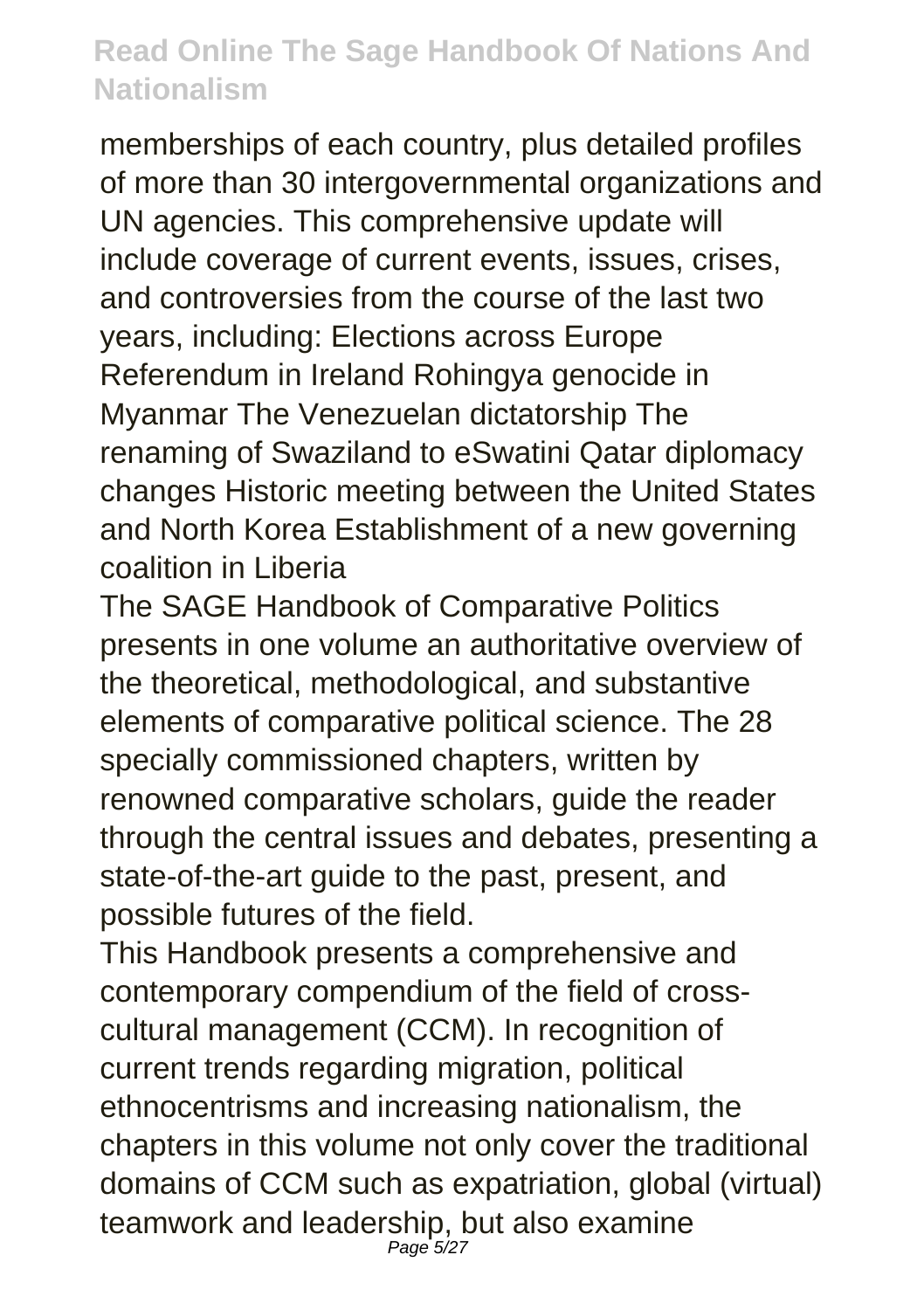memberships of each country, plus detailed profiles of more than 30 intergovernmental organizations and UN agencies. This comprehensive update will include coverage of current events, issues, crises, and controversies from the course of the last two years, including: Elections across Europe Referendum in Ireland Rohingya genocide in Myanmar The Venezuelan dictatorship The renaming of Swaziland to eSwatini Qatar diplomacy changes Historic meeting between the United States and North Korea Establishment of a new governing coalition in Liberia

The SAGE Handbook of Comparative Politics presents in one volume an authoritative overview of the theoretical, methodological, and substantive elements of comparative political science. The 28 specially commissioned chapters, written by renowned comparative scholars, guide the reader through the central issues and debates, presenting a state-of-the-art guide to the past, present, and possible futures of the field.

This Handbook presents a comprehensive and contemporary compendium of the field of crosscultural management (CCM). In recognition of current trends regarding migration, political ethnocentrisms and increasing nationalism, the chapters in this volume not only cover the traditional domains of CCM such as expatriation, global (virtual) teamwork and leadership, but also examine Page 5/27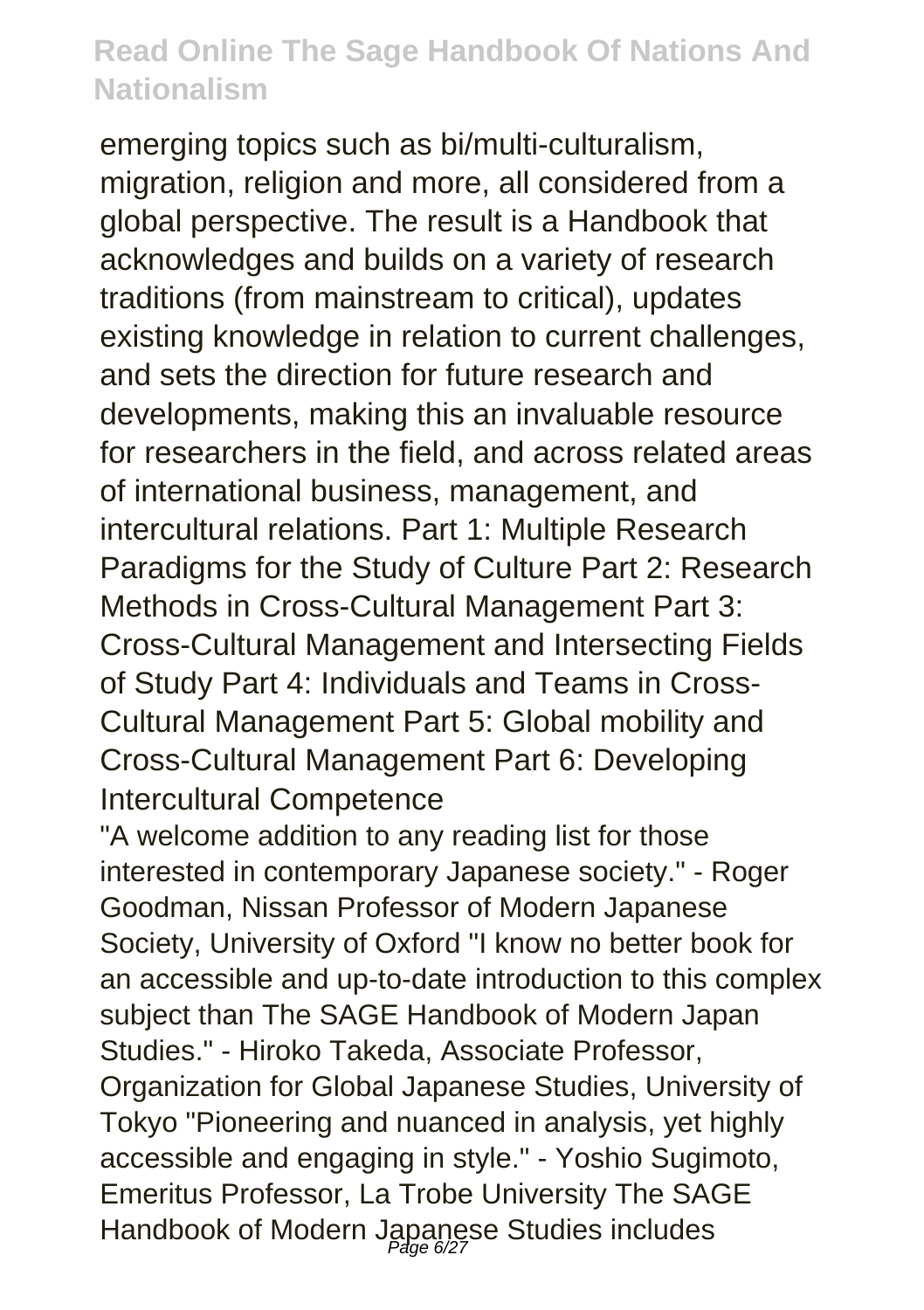emerging topics such as bi/multi-culturalism, migration, religion and more, all considered from a global perspective. The result is a Handbook that acknowledges and builds on a variety of research traditions (from mainstream to critical), updates existing knowledge in relation to current challenges, and sets the direction for future research and developments, making this an invaluable resource for researchers in the field, and across related areas of international business, management, and intercultural relations. Part 1: Multiple Research Paradigms for the Study of Culture Part 2: Research Methods in Cross-Cultural Management Part 3: Cross-Cultural Management and Intersecting Fields of Study Part 4: Individuals and Teams in Cross-Cultural Management Part 5: Global mobility and Cross-Cultural Management Part 6: Developing Intercultural Competence

"A welcome addition to any reading list for those interested in contemporary Japanese society." - Roger Goodman, Nissan Professor of Modern Japanese Society, University of Oxford "I know no better book for an accessible and up-to-date introduction to this complex subject than The SAGE Handbook of Modern Japan Studies." - Hiroko Takeda, Associate Professor, Organization for Global Japanese Studies, University of Tokyo "Pioneering and nuanced in analysis, yet highly accessible and engaging in style." - Yoshio Sugimoto, Emeritus Professor, La Trobe University The SAGE Handbook of Modern Japanese Studies includes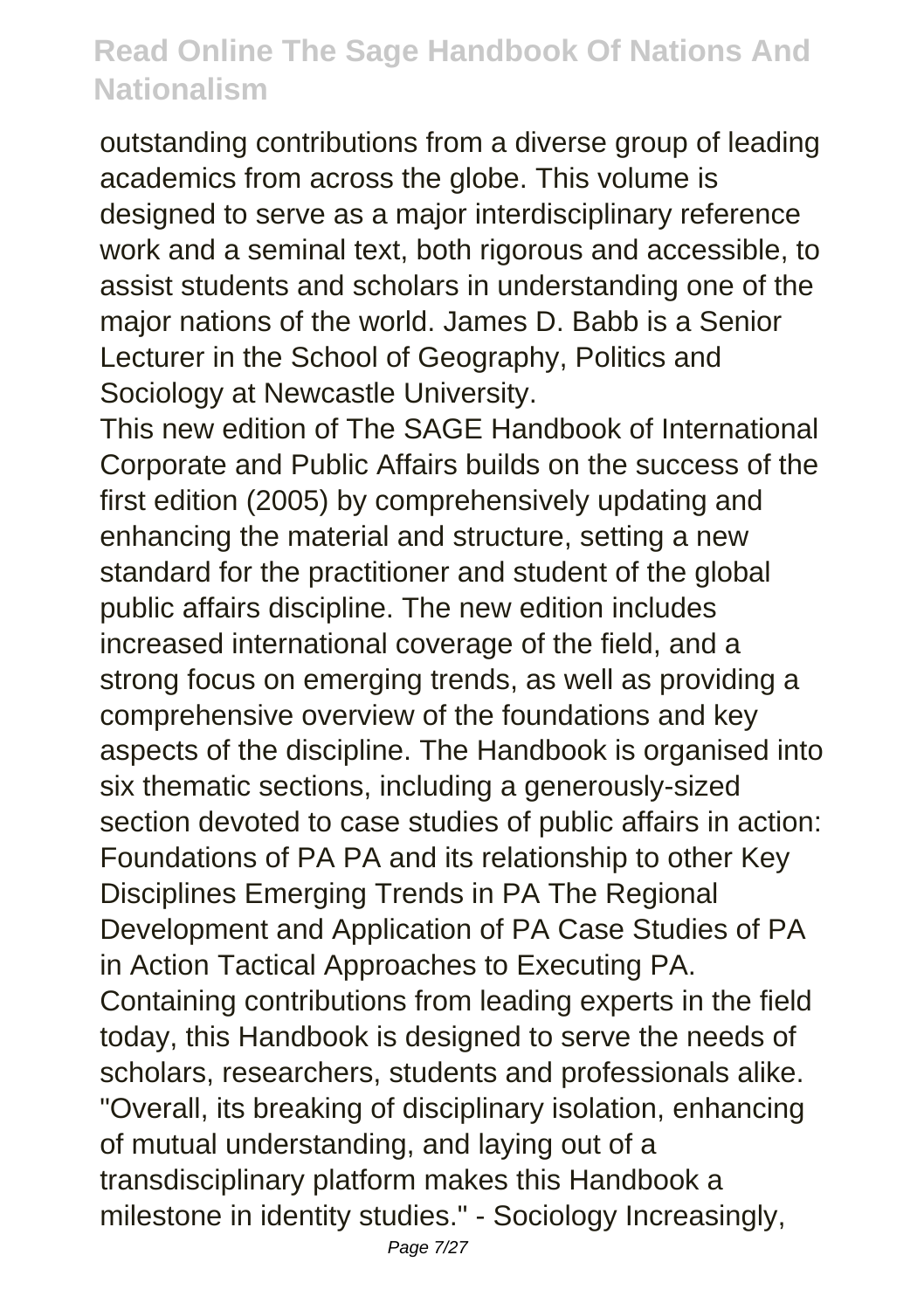outstanding contributions from a diverse group of leading academics from across the globe. This volume is designed to serve as a major interdisciplinary reference work and a seminal text, both rigorous and accessible, to assist students and scholars in understanding one of the major nations of the world. James D. Babb is a Senior Lecturer in the School of Geography, Politics and Sociology at Newcastle University.

This new edition of The SAGE Handbook of International Corporate and Public Affairs builds on the success of the first edition (2005) by comprehensively updating and enhancing the material and structure, setting a new standard for the practitioner and student of the global public affairs discipline. The new edition includes increased international coverage of the field, and a strong focus on emerging trends, as well as providing a comprehensive overview of the foundations and key aspects of the discipline. The Handbook is organised into six thematic sections, including a generously-sized section devoted to case studies of public affairs in action: Foundations of PA PA and its relationship to other Key Disciplines Emerging Trends in PA The Regional Development and Application of PA Case Studies of PA in Action Tactical Approaches to Executing PA. Containing contributions from leading experts in the field today, this Handbook is designed to serve the needs of scholars, researchers, students and professionals alike. "Overall, its breaking of disciplinary isolation, enhancing of mutual understanding, and laying out of a transdisciplinary platform makes this Handbook a milestone in identity studies." - Sociology Increasingly,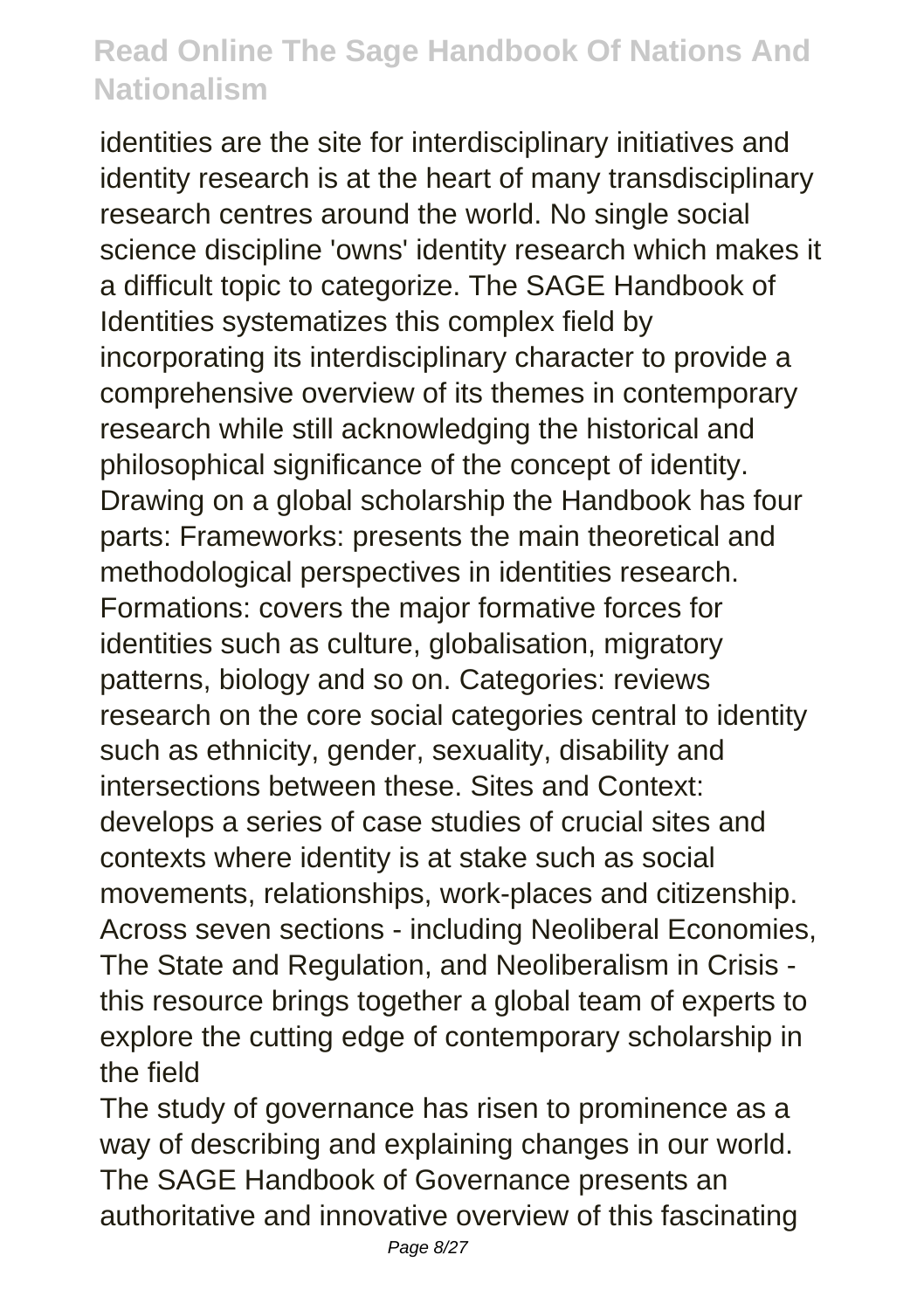identities are the site for interdisciplinary initiatives and identity research is at the heart of many transdisciplinary research centres around the world. No single social science discipline 'owns' identity research which makes it a difficult topic to categorize. The SAGE Handbook of Identities systematizes this complex field by incorporating its interdisciplinary character to provide a comprehensive overview of its themes in contemporary research while still acknowledging the historical and philosophical significance of the concept of identity. Drawing on a global scholarship the Handbook has four parts: Frameworks: presents the main theoretical and methodological perspectives in identities research. Formations: covers the major formative forces for identities such as culture, globalisation, migratory patterns, biology and so on. Categories: reviews research on the core social categories central to identity such as ethnicity, gender, sexuality, disability and intersections between these. Sites and Context: develops a series of case studies of crucial sites and contexts where identity is at stake such as social movements, relationships, work-places and citizenship. Across seven sections - including Neoliberal Economies, The State and Regulation, and Neoliberalism in Crisis this resource brings together a global team of experts to explore the cutting edge of contemporary scholarship in the field

The study of governance has risen to prominence as a way of describing and explaining changes in our world. The SAGE Handbook of Governance presents an authoritative and innovative overview of this fascinating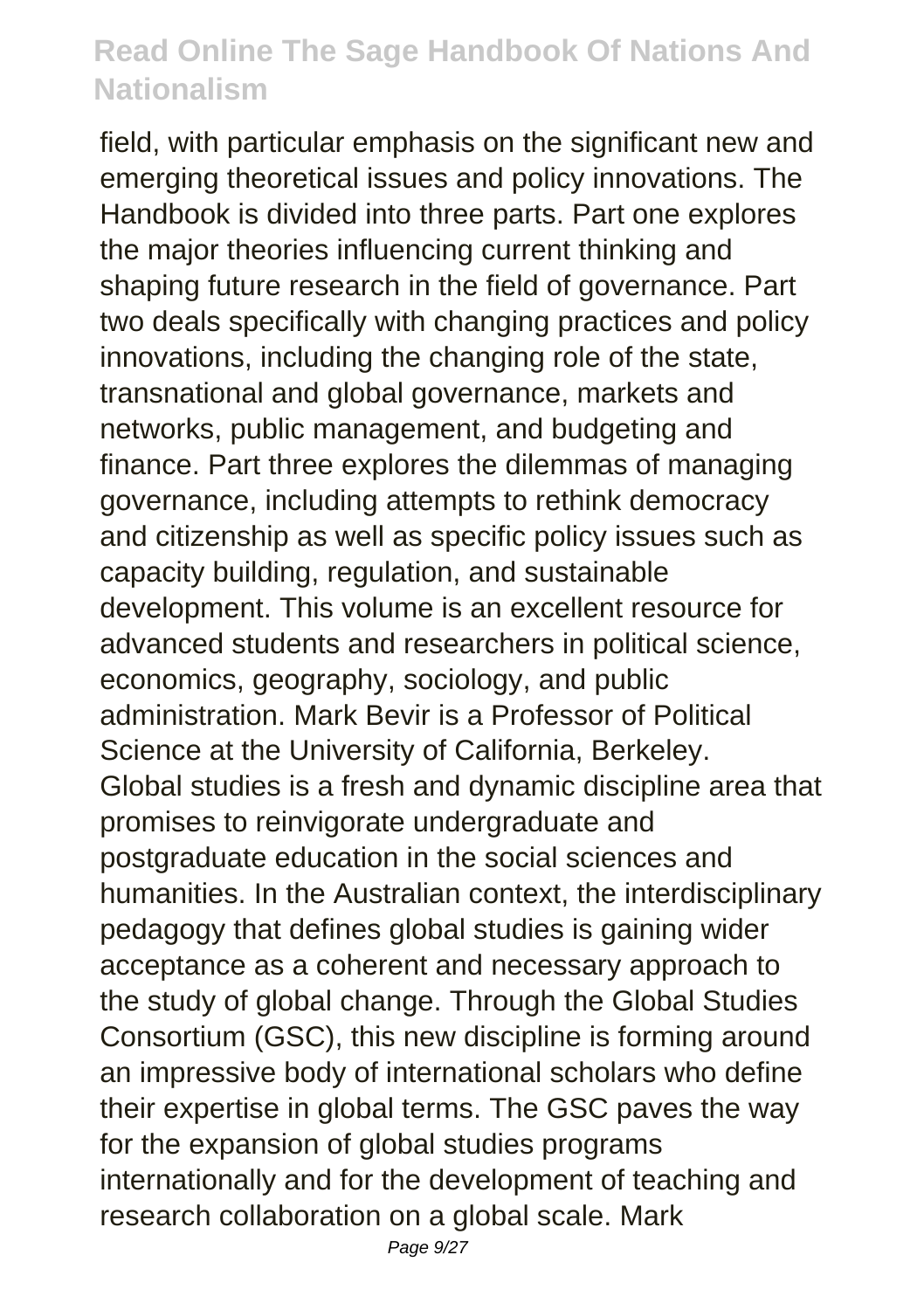field, with particular emphasis on the significant new and emerging theoretical issues and policy innovations. The Handbook is divided into three parts. Part one explores the major theories influencing current thinking and shaping future research in the field of governance. Part two deals specifically with changing practices and policy innovations, including the changing role of the state, transnational and global governance, markets and networks, public management, and budgeting and finance. Part three explores the dilemmas of managing governance, including attempts to rethink democracy and citizenship as well as specific policy issues such as capacity building, regulation, and sustainable development. This volume is an excellent resource for advanced students and researchers in political science, economics, geography, sociology, and public administration. Mark Bevir is a Professor of Political Science at the University of California, Berkeley. Global studies is a fresh and dynamic discipline area that promises to reinvigorate undergraduate and postgraduate education in the social sciences and humanities. In the Australian context, the interdisciplinary pedagogy that defines global studies is gaining wider acceptance as a coherent and necessary approach to the study of global change. Through the Global Studies Consortium (GSC), this new discipline is forming around an impressive body of international scholars who define their expertise in global terms. The GSC paves the way for the expansion of global studies programs internationally and for the development of teaching and research collaboration on a global scale. Mark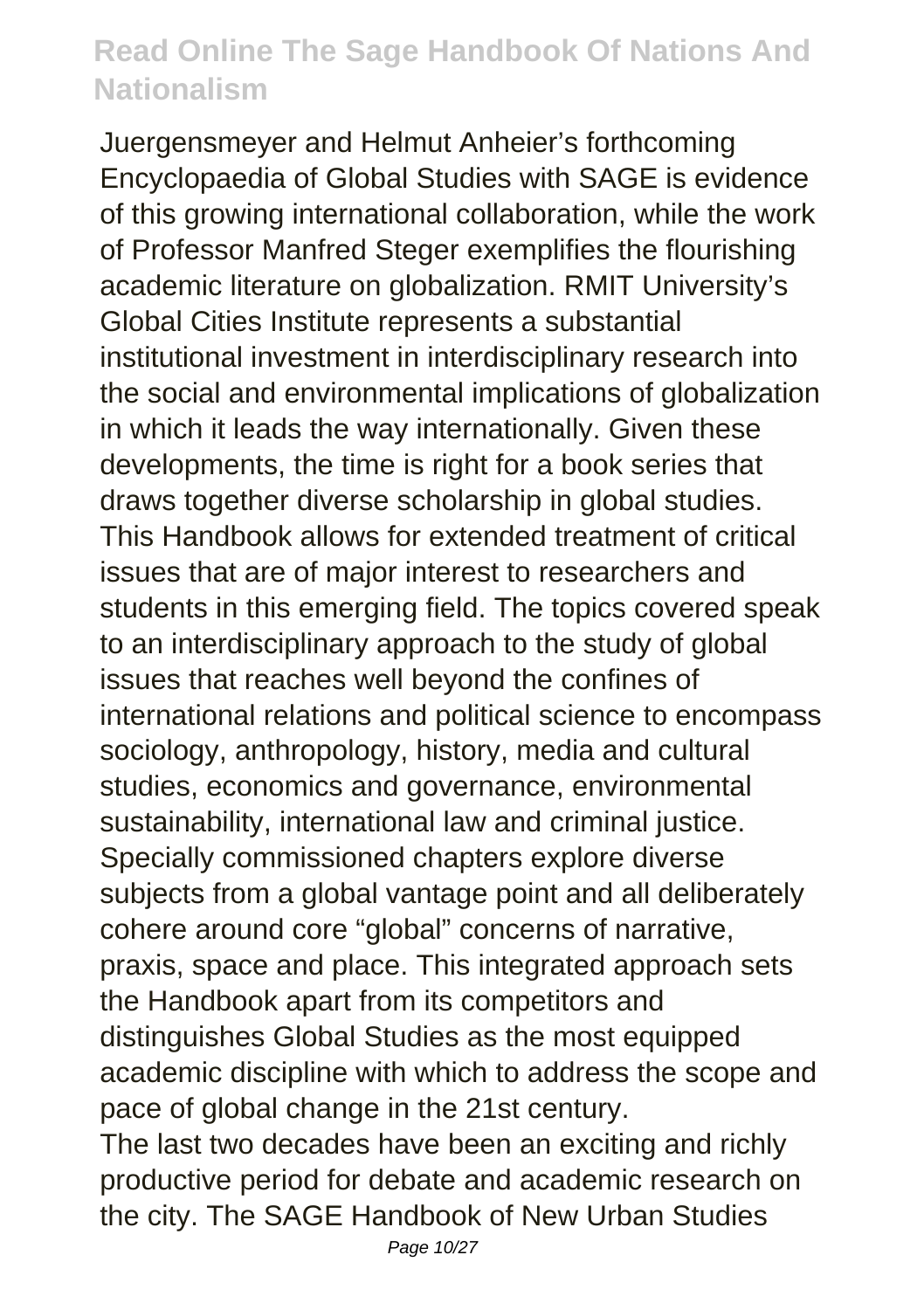Juergensmeyer and Helmut Anheier's forthcoming Encyclopaedia of Global Studies with SAGE is evidence of this growing international collaboration, while the work of Professor Manfred Steger exemplifies the flourishing academic literature on globalization. RMIT University's Global Cities Institute represents a substantial institutional investment in interdisciplinary research into the social and environmental implications of globalization in which it leads the way internationally. Given these developments, the time is right for a book series that draws together diverse scholarship in global studies. This Handbook allows for extended treatment of critical issues that are of major interest to researchers and students in this emerging field. The topics covered speak to an interdisciplinary approach to the study of global issues that reaches well beyond the confines of international relations and political science to encompass sociology, anthropology, history, media and cultural studies, economics and governance, environmental sustainability, international law and criminal justice. Specially commissioned chapters explore diverse subjects from a global vantage point and all deliberately cohere around core "global" concerns of narrative, praxis, space and place. This integrated approach sets the Handbook apart from its competitors and distinguishes Global Studies as the most equipped academic discipline with which to address the scope and pace of global change in the 21st century. The last two decades have been an exciting and richly productive period for debate and academic research on the city. The SAGE Handbook of New Urban Studies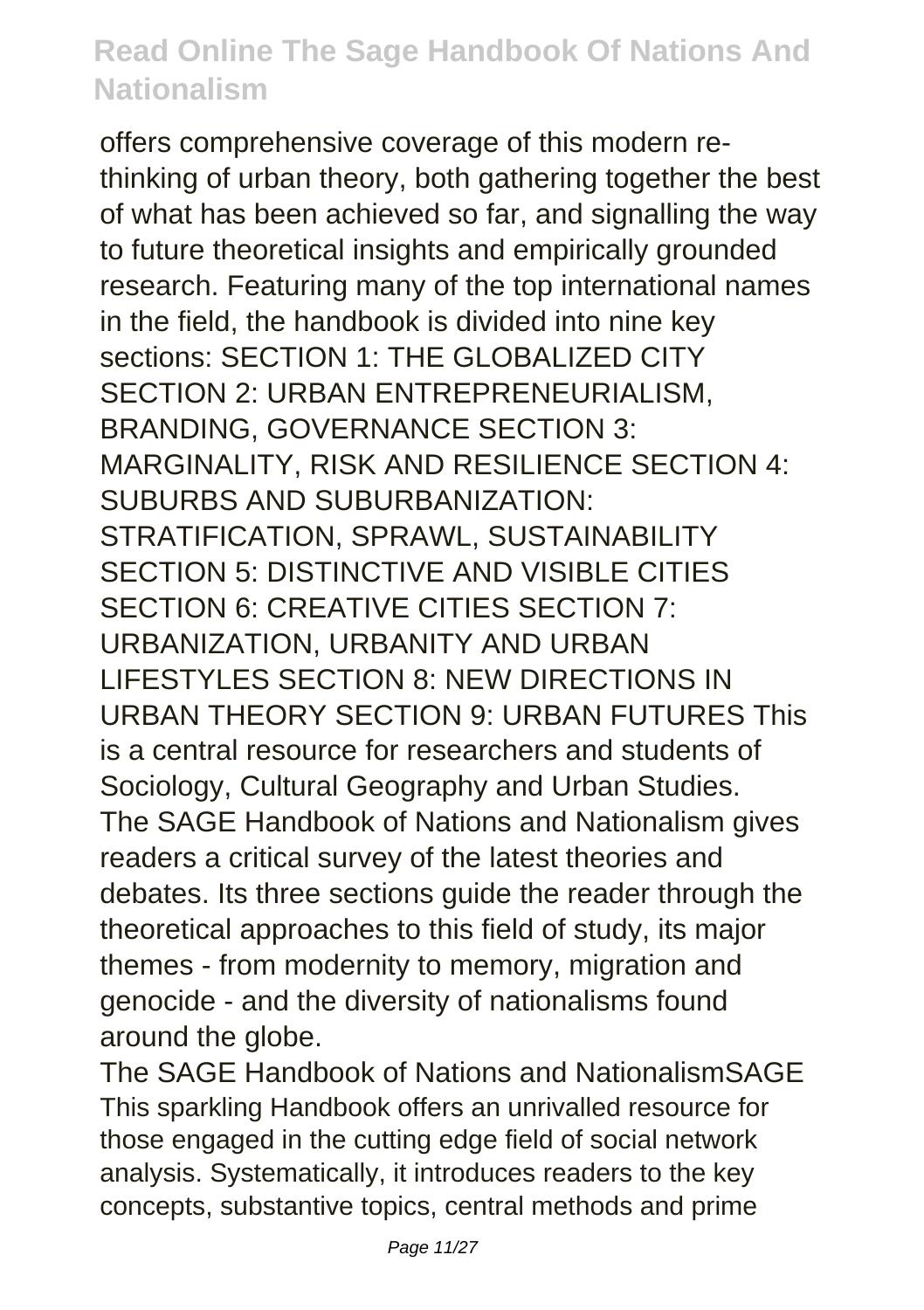offers comprehensive coverage of this modern rethinking of urban theory, both gathering together the best of what has been achieved so far, and signalling the way to future theoretical insights and empirically grounded research. Featuring many of the top international names in the field, the handbook is divided into nine key sections: SECTION 1: THE GLOBALIZED CITY SECTION 2: URBAN ENTREPRENEURIALISM, BRANDING, GOVERNANCE SECTION 3: MARGINALITY, RISK AND RESILIENCE SECTION 4: SUBURBS AND SUBURBANIZATION: STRATIFICATION, SPRAWL, SUSTAINABILITY SECTION 5: DISTINCTIVE AND VISIBLE CITIES SECTION 6: CREATIVE CITIES SECTION 7: URBANIZATION, URBANITY AND URBAN LIFESTYLES SECTION 8: NEW DIRECTIONS IN URBAN THEORY SECTION 9: URBAN FUTURES This is a central resource for researchers and students of Sociology, Cultural Geography and Urban Studies. The SAGE Handbook of Nations and Nationalism gives readers a critical survey of the latest theories and debates. Its three sections guide the reader through the theoretical approaches to this field of study, its major themes - from modernity to memory, migration and genocide - and the diversity of nationalisms found around the globe.

The SAGE Handbook of Nations and NationalismSAGE This sparkling Handbook offers an unrivalled resource for those engaged in the cutting edge field of social network analysis. Systematically, it introduces readers to the key concepts, substantive topics, central methods and prime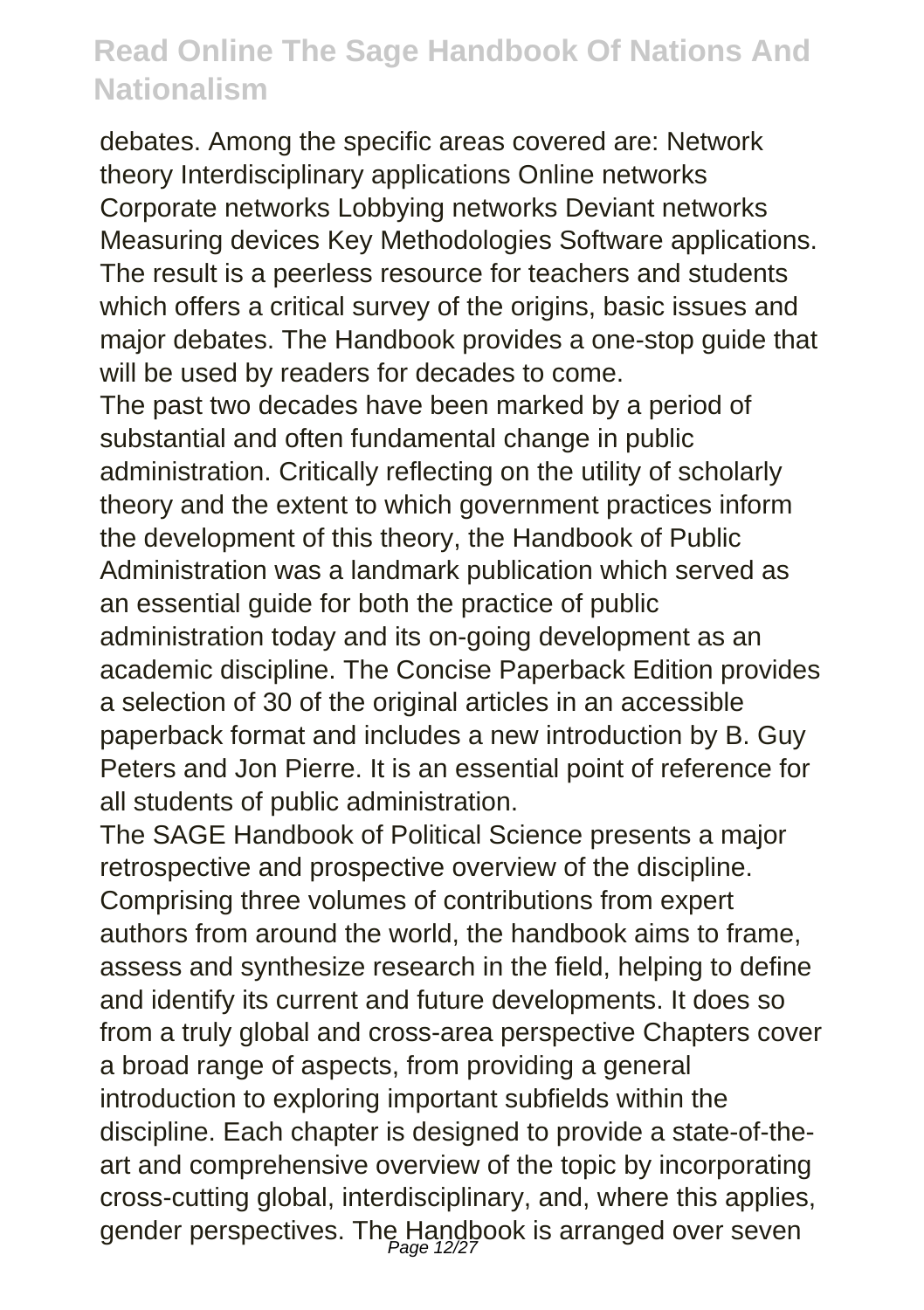debates. Among the specific areas covered are: Network theory Interdisciplinary applications Online networks Corporate networks Lobbying networks Deviant networks Measuring devices Key Methodologies Software applications. The result is a peerless resource for teachers and students which offers a critical survey of the origins, basic issues and major debates. The Handbook provides a one-stop guide that will be used by readers for decades to come.

The past two decades have been marked by a period of substantial and often fundamental change in public administration. Critically reflecting on the utility of scholarly theory and the extent to which government practices inform the development of this theory, the Handbook of Public Administration was a landmark publication which served as an essential guide for both the practice of public administration today and its on-going development as an academic discipline. The Concise Paperback Edition provides a selection of 30 of the original articles in an accessible paperback format and includes a new introduction by B. Guy Peters and Jon Pierre. It is an essential point of reference for all students of public administration.

The SAGE Handbook of Political Science presents a major retrospective and prospective overview of the discipline. Comprising three volumes of contributions from expert authors from around the world, the handbook aims to frame, assess and synthesize research in the field, helping to define and identify its current and future developments. It does so from a truly global and cross-area perspective Chapters cover a broad range of aspects, from providing a general introduction to exploring important subfields within the discipline. Each chapter is designed to provide a state-of-theart and comprehensive overview of the topic by incorporating cross-cutting global, interdisciplinary, and, where this applies, gender perspectives. The Handbook is arranged over seven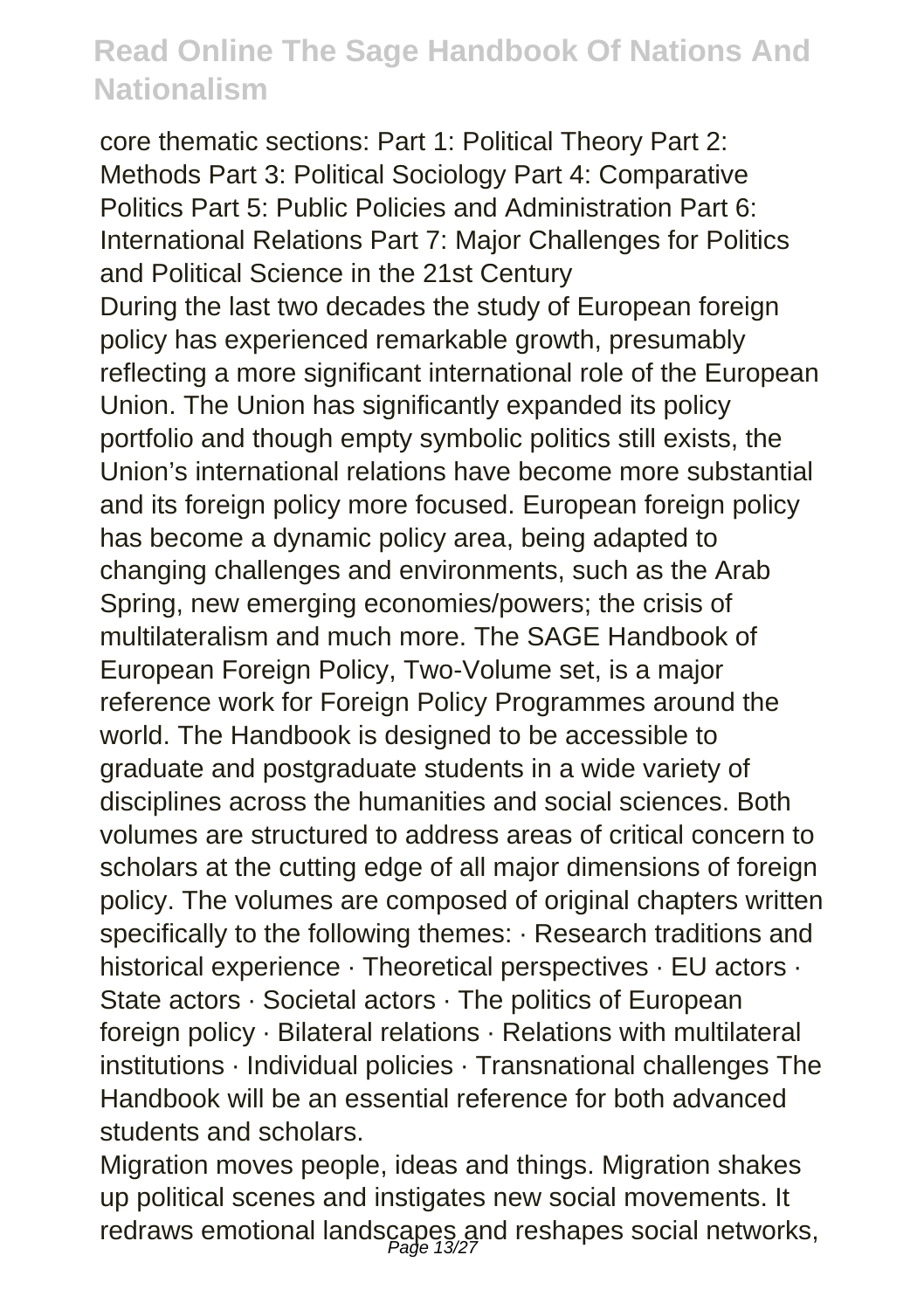core thematic sections: Part 1: Political Theory Part 2: Methods Part 3: Political Sociology Part 4: Comparative Politics Part 5: Public Policies and Administration Part 6: International Relations Part 7: Major Challenges for Politics and Political Science in the 21st Century During the last two decades the study of European foreign policy has experienced remarkable growth, presumably reflecting a more significant international role of the European Union. The Union has significantly expanded its policy portfolio and though empty symbolic politics still exists, the Union's international relations have become more substantial and its foreign policy more focused. European foreign policy has become a dynamic policy area, being adapted to changing challenges and environments, such as the Arab Spring, new emerging economies/powers; the crisis of multilateralism and much more. The SAGE Handbook of European Foreign Policy, Two-Volume set, is a major reference work for Foreign Policy Programmes around the world. The Handbook is designed to be accessible to graduate and postgraduate students in a wide variety of disciplines across the humanities and social sciences. Both volumes are structured to address areas of critical concern to scholars at the cutting edge of all major dimensions of foreign policy. The volumes are composed of original chapters written specifically to the following themes:  $\cdot$  Research traditions and historical experience · Theoretical perspectives · EU actors · State actors · Societal actors · The politics of European foreign policy · Bilateral relations · Relations with multilateral institutions · Individual policies · Transnational challenges The Handbook will be an essential reference for both advanced students and scholars.

Migration moves people, ideas and things. Migration shakes up political scenes and instigates new social movements. It redraws emotional landscapes and reshapes social networks,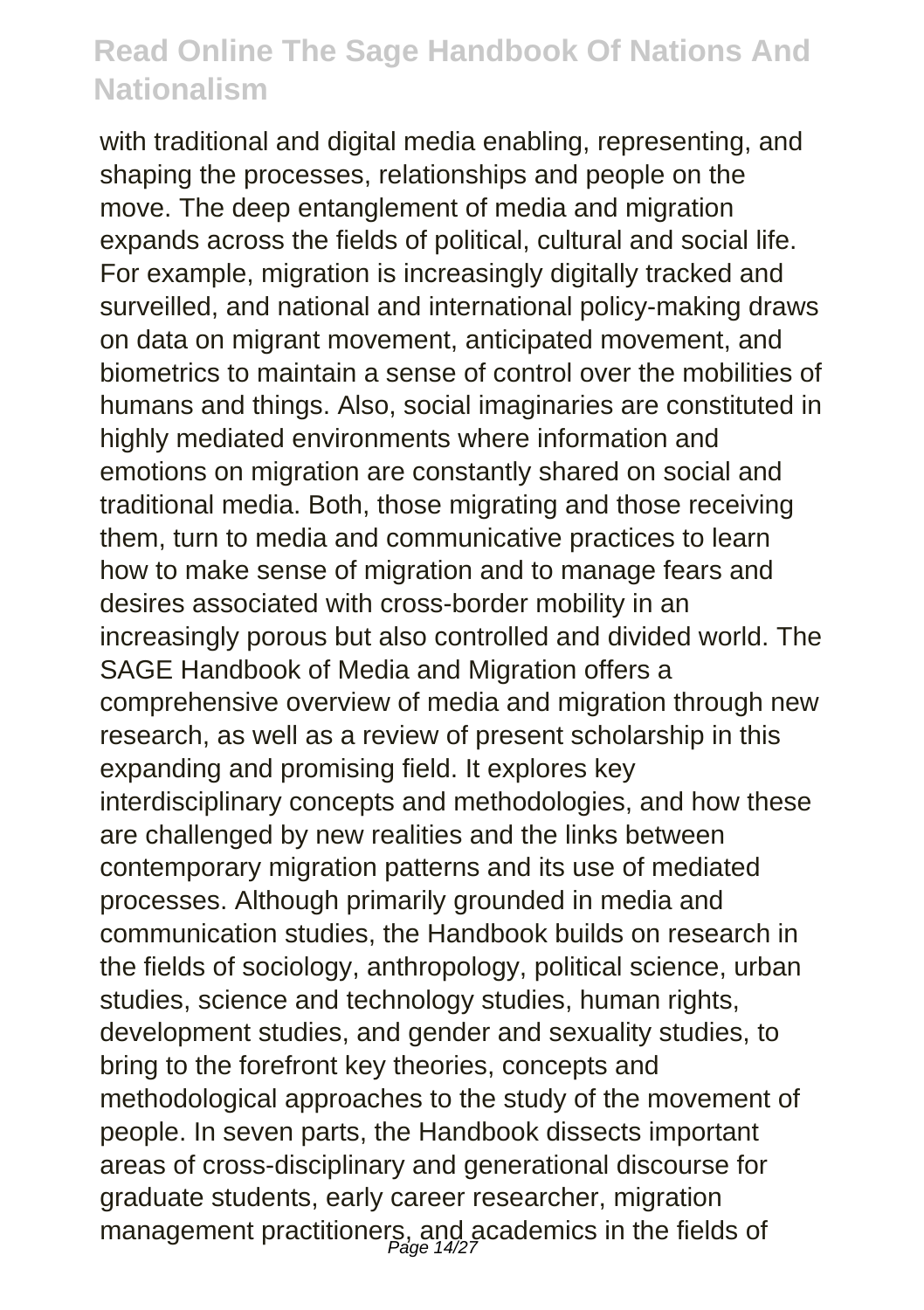with traditional and digital media enabling, representing, and shaping the processes, relationships and people on the move. The deep entanglement of media and migration expands across the fields of political, cultural and social life. For example, migration is increasingly digitally tracked and surveilled, and national and international policy-making draws on data on migrant movement, anticipated movement, and biometrics to maintain a sense of control over the mobilities of humans and things. Also, social imaginaries are constituted in highly mediated environments where information and emotions on migration are constantly shared on social and traditional media. Both, those migrating and those receiving them, turn to media and communicative practices to learn how to make sense of migration and to manage fears and desires associated with cross-border mobility in an increasingly porous but also controlled and divided world. The SAGE Handbook of Media and Migration offers a comprehensive overview of media and migration through new research, as well as a review of present scholarship in this expanding and promising field. It explores key interdisciplinary concepts and methodologies, and how these are challenged by new realities and the links between contemporary migration patterns and its use of mediated processes. Although primarily grounded in media and communication studies, the Handbook builds on research in the fields of sociology, anthropology, political science, urban studies, science and technology studies, human rights, development studies, and gender and sexuality studies, to bring to the forefront key theories, concepts and methodological approaches to the study of the movement of people. In seven parts, the Handbook dissects important areas of cross-disciplinary and generational discourse for graduate students, early career researcher, migration management practitioners, and academics in the fields of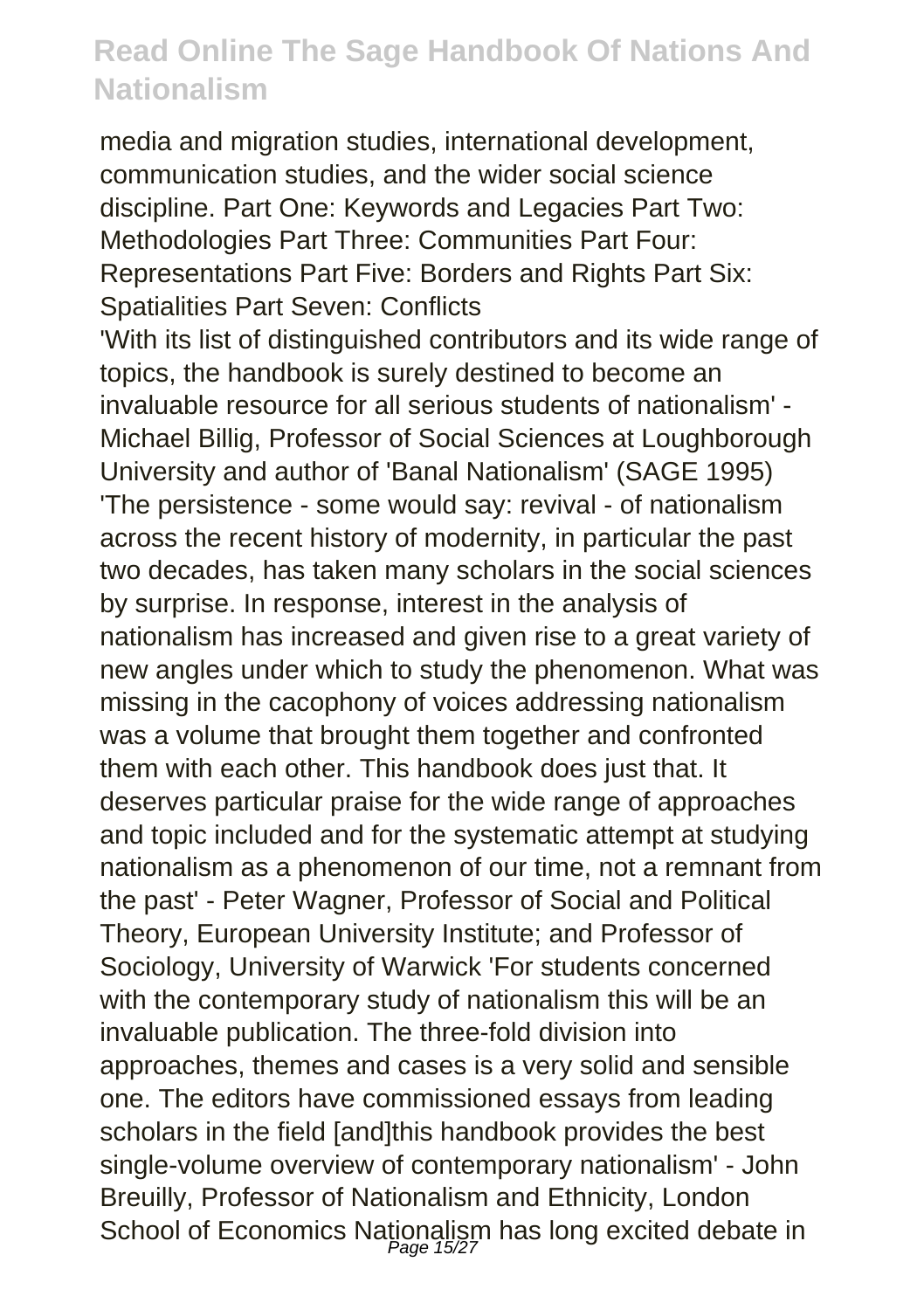media and migration studies, international development, communication studies, and the wider social science discipline. Part One: Keywords and Legacies Part Two: Methodologies Part Three: Communities Part Four: Representations Part Five: Borders and Rights Part Six: Spatialities Part Seven: Conflicts 'With its list of distinguished contributors and its wide range of topics, the handbook is surely destined to become an invaluable resource for all serious students of nationalism' - Michael Billig, Professor of Social Sciences at Loughborough University and author of 'Banal Nationalism' (SAGE 1995) 'The persistence - some would say: revival - of nationalism across the recent history of modernity, in particular the past two decades, has taken many scholars in the social sciences by surprise. In response, interest in the analysis of nationalism has increased and given rise to a great variety of new angles under which to study the phenomenon. What was missing in the cacophony of voices addressing nationalism was a volume that brought them together and confronted them with each other. This handbook does just that. It deserves particular praise for the wide range of approaches and topic included and for the systematic attempt at studying nationalism as a phenomenon of our time, not a remnant from the past' - Peter Wagner, Professor of Social and Political Theory, European University Institute; and Professor of Sociology, University of Warwick 'For students concerned with the contemporary study of nationalism this will be an invaluable publication. The three-fold division into approaches, themes and cases is a very solid and sensible one. The editors have commissioned essays from leading scholars in the field [and]this handbook provides the best single-volume overview of contemporary nationalism' - John Breuilly, Professor of Nationalism and Ethnicity, London School of Economics Nationalism has long excited debate in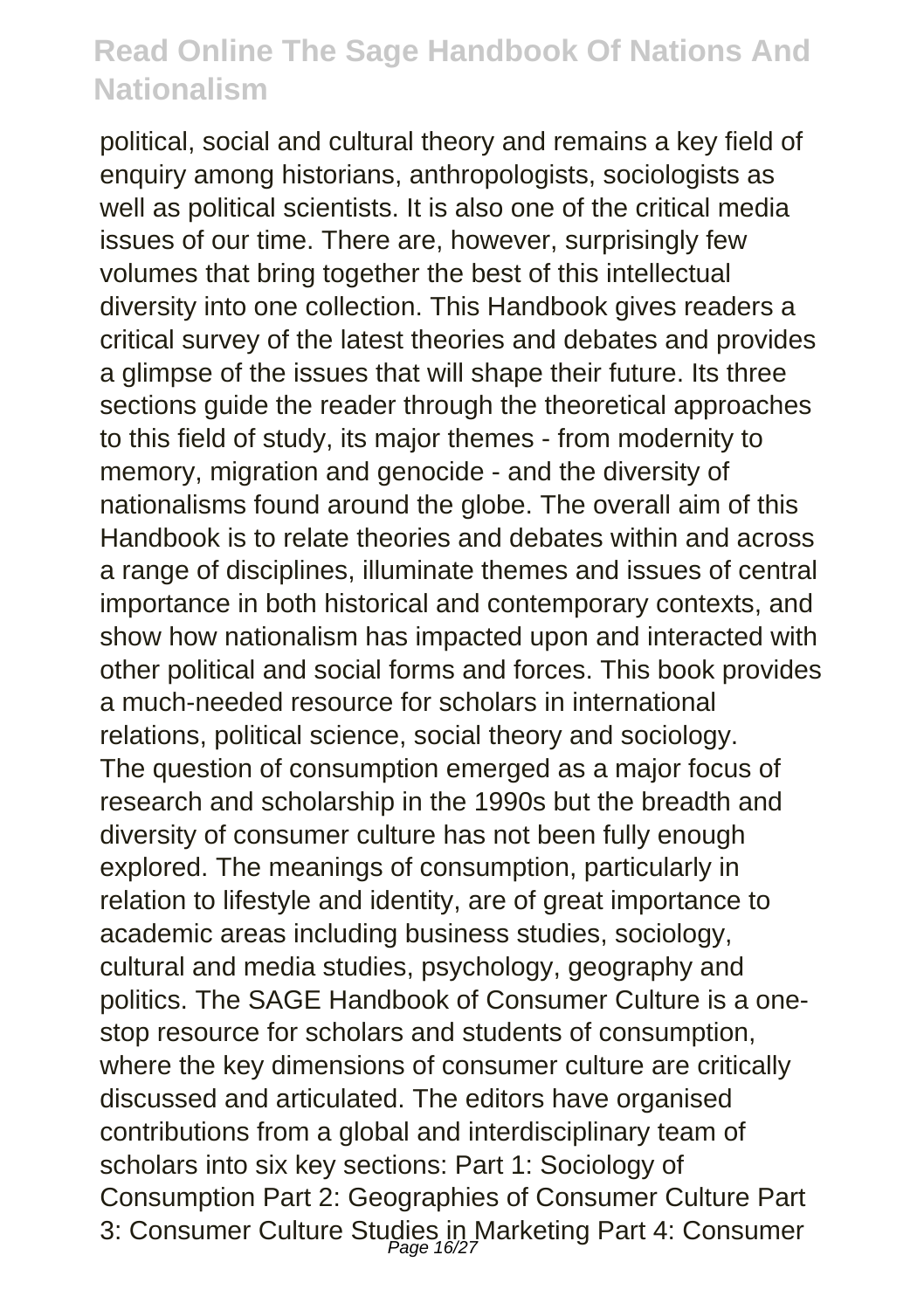political, social and cultural theory and remains a key field of enquiry among historians, anthropologists, sociologists as well as political scientists. It is also one of the critical media issues of our time. There are, however, surprisingly few volumes that bring together the best of this intellectual diversity into one collection. This Handbook gives readers a critical survey of the latest theories and debates and provides a glimpse of the issues that will shape their future. Its three sections quide the reader through the theoretical approaches to this field of study, its major themes - from modernity to memory, migration and genocide - and the diversity of nationalisms found around the globe. The overall aim of this Handbook is to relate theories and debates within and across a range of disciplines, illuminate themes and issues of central importance in both historical and contemporary contexts, and show how nationalism has impacted upon and interacted with other political and social forms and forces. This book provides a much-needed resource for scholars in international relations, political science, social theory and sociology. The question of consumption emerged as a major focus of research and scholarship in the 1990s but the breadth and diversity of consumer culture has not been fully enough explored. The meanings of consumption, particularly in relation to lifestyle and identity, are of great importance to academic areas including business studies, sociology, cultural and media studies, psychology, geography and politics. The SAGE Handbook of Consumer Culture is a onestop resource for scholars and students of consumption, where the key dimensions of consumer culture are critically discussed and articulated. The editors have organised contributions from a global and interdisciplinary team of scholars into six key sections: Part 1: Sociology of Consumption Part 2: Geographies of Consumer Culture Part 3: Consumer Culture Studies in Marketing Part 4: Consumer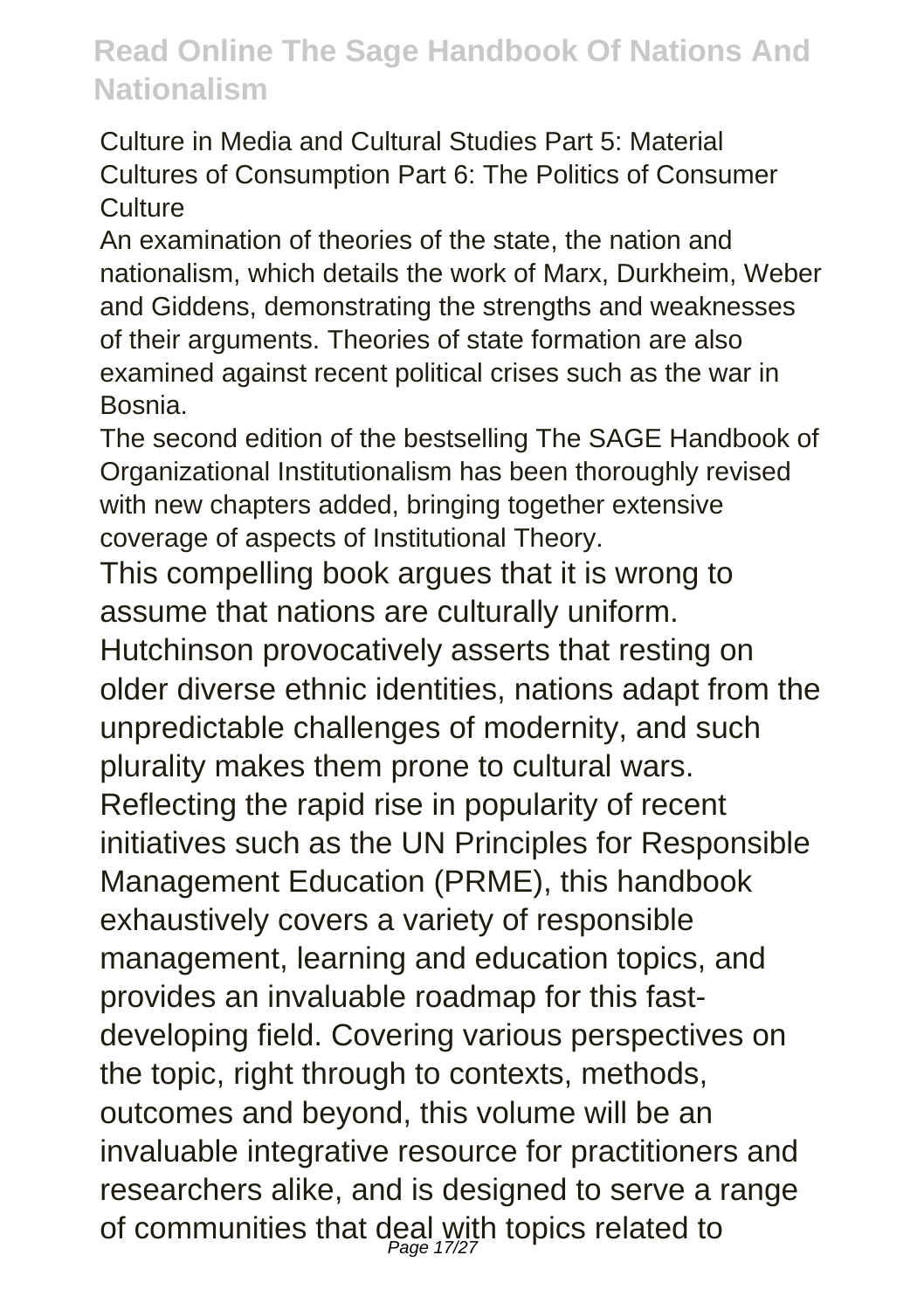Culture in Media and Cultural Studies Part 5: Material Cultures of Consumption Part 6: The Politics of Consumer **Culture** 

An examination of theories of the state, the nation and nationalism, which details the work of Marx, Durkheim, Weber and Giddens, demonstrating the strengths and weaknesses of their arguments. Theories of state formation are also examined against recent political crises such as the war in Bosnia.

The second edition of the bestselling The SAGE Handbook of Organizational Institutionalism has been thoroughly revised with new chapters added, bringing together extensive coverage of aspects of Institutional Theory.

This compelling book argues that it is wrong to assume that nations are culturally uniform.

Hutchinson provocatively asserts that resting on older diverse ethnic identities, nations adapt from the unpredictable challenges of modernity, and such plurality makes them prone to cultural wars. Reflecting the rapid rise in popularity of recent initiatives such as the UN Principles for Responsible Management Education (PRME), this handbook exhaustively covers a variety of responsible management, learning and education topics, and provides an invaluable roadmap for this fastdeveloping field. Covering various perspectives on the topic, right through to contexts, methods, outcomes and beyond, this volume will be an invaluable integrative resource for practitioners and researchers alike, and is designed to serve a range of communities that deal with topics related to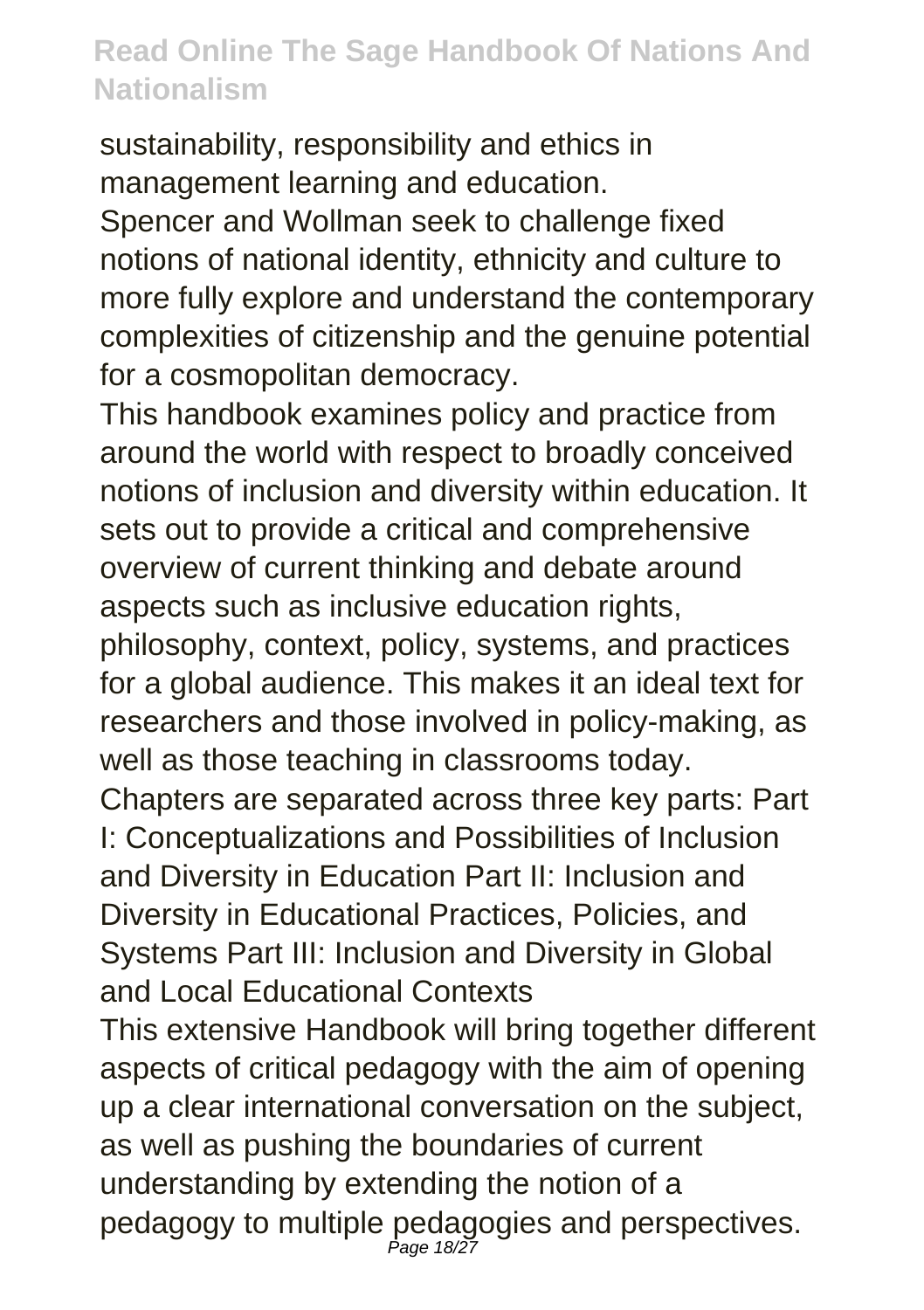sustainability, responsibility and ethics in management learning and education.

Spencer and Wollman seek to challenge fixed notions of national identity, ethnicity and culture to more fully explore and understand the contemporary complexities of citizenship and the genuine potential for a cosmopolitan democracy.

This handbook examines policy and practice from around the world with respect to broadly conceived notions of inclusion and diversity within education. It sets out to provide a critical and comprehensive overview of current thinking and debate around aspects such as inclusive education rights, philosophy, context, policy, systems, and practices for a global audience. This makes it an ideal text for researchers and those involved in policy-making, as well as those teaching in classrooms today. Chapters are separated across three key parts: Part I: Conceptualizations and Possibilities of Inclusion and Diversity in Education Part II: Inclusion and Diversity in Educational Practices, Policies, and Systems Part III: Inclusion and Diversity in Global

and Local Educational Contexts

This extensive Handbook will bring together different aspects of critical pedagogy with the aim of opening up a clear international conversation on the subject, as well as pushing the boundaries of current understanding by extending the notion of a pedagogy to multiple pedagogies and perspectives. Page 18/27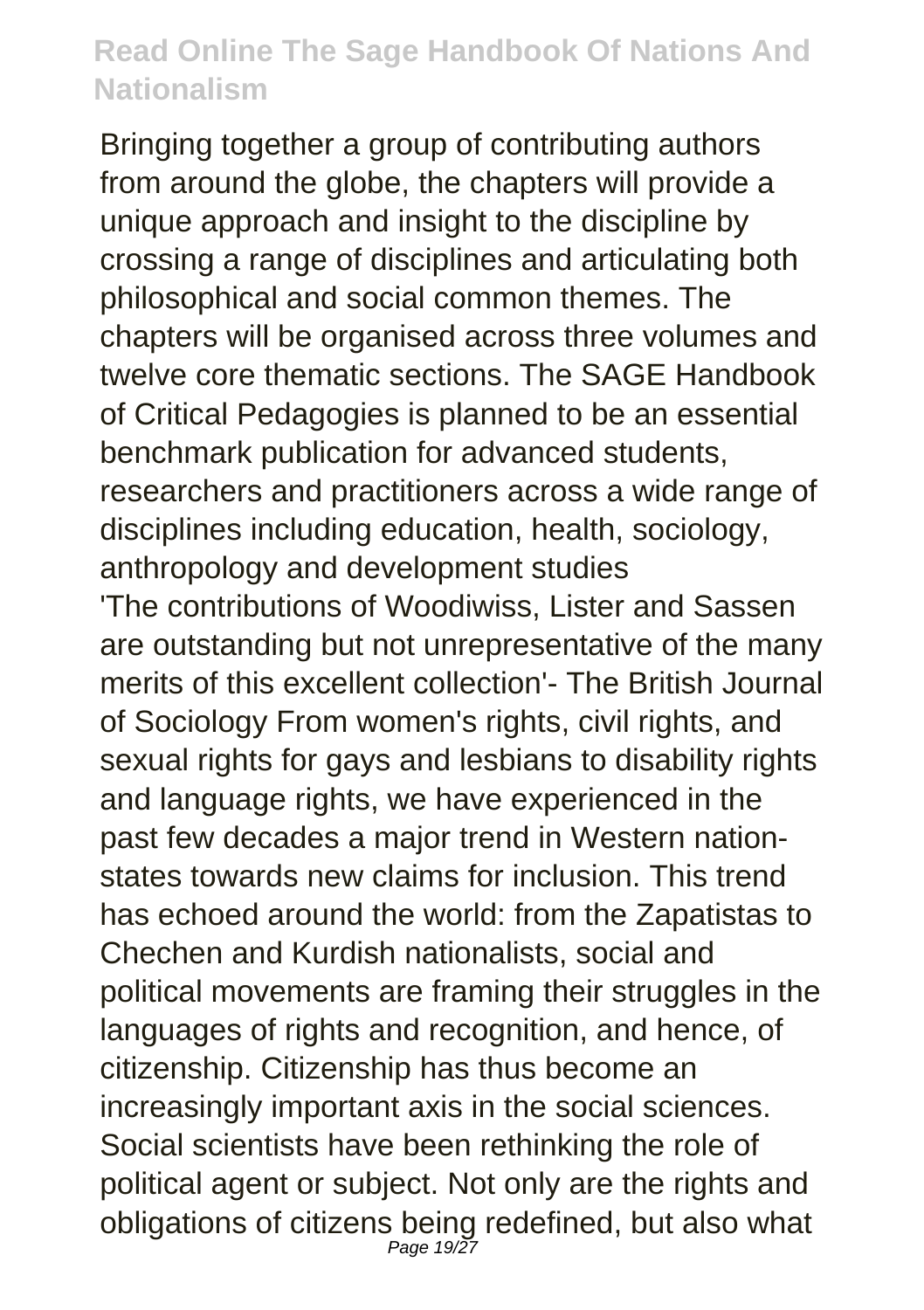Bringing together a group of contributing authors from around the globe, the chapters will provide a unique approach and insight to the discipline by crossing a range of disciplines and articulating both philosophical and social common themes. The chapters will be organised across three volumes and twelve core thematic sections. The SAGE Handbook of Critical Pedagogies is planned to be an essential benchmark publication for advanced students, researchers and practitioners across a wide range of disciplines including education, health, sociology, anthropology and development studies

'The contributions of Woodiwiss, Lister and Sassen are outstanding but not unrepresentative of the many merits of this excellent collection'- The British Journal of Sociology From women's rights, civil rights, and sexual rights for gays and lesbians to disability rights and language rights, we have experienced in the past few decades a major trend in Western nationstates towards new claims for inclusion. This trend has echoed around the world: from the Zapatistas to Chechen and Kurdish nationalists, social and political movements are framing their struggles in the languages of rights and recognition, and hence, of citizenship. Citizenship has thus become an increasingly important axis in the social sciences. Social scientists have been rethinking the role of political agent or subject. Not only are the rights and obligations of citizens being redefined, but also what Page 19/27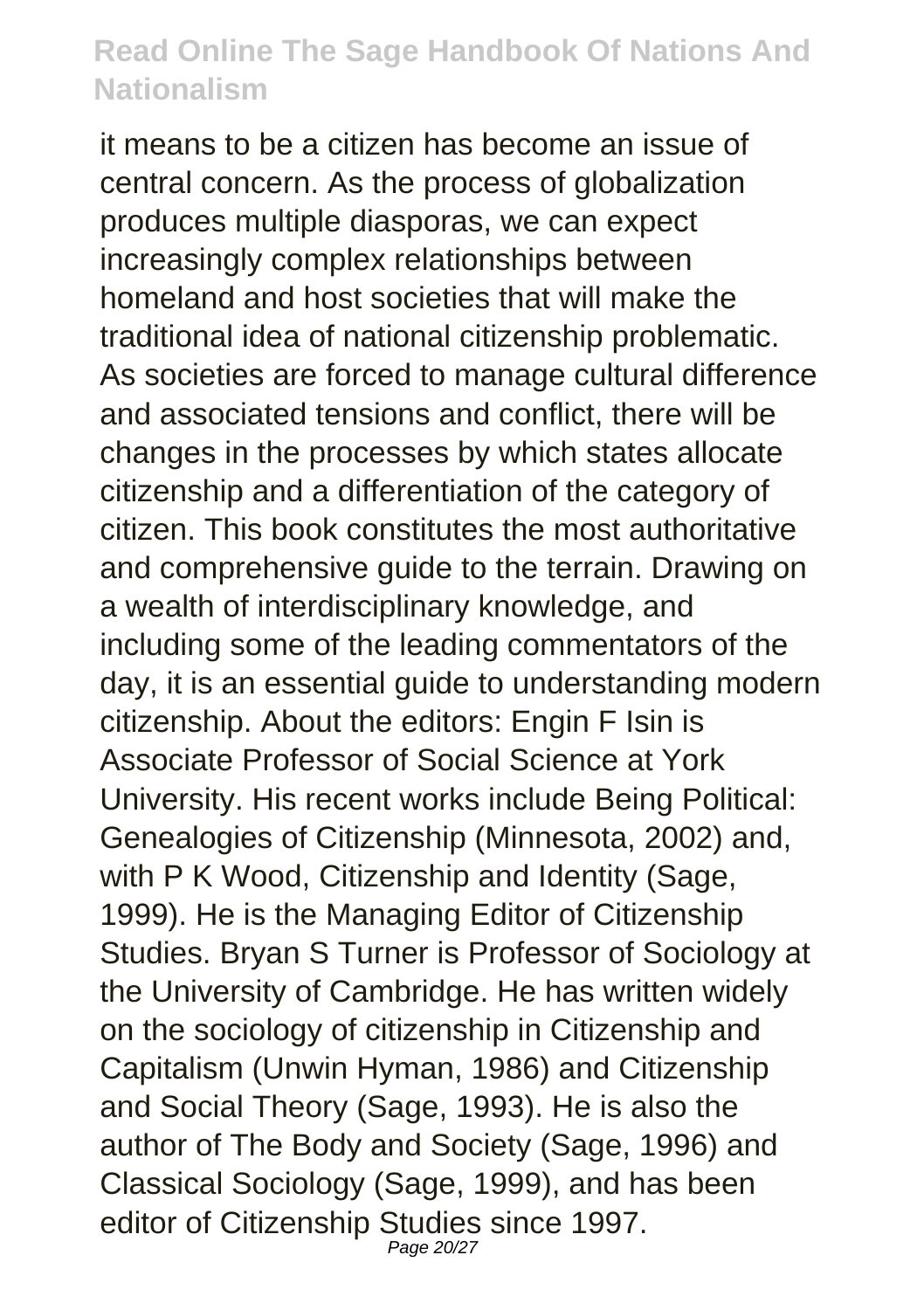it means to be a citizen has become an issue of central concern. As the process of globalization produces multiple diasporas, we can expect increasingly complex relationships between homeland and host societies that will make the traditional idea of national citizenship problematic. As societies are forced to manage cultural difference and associated tensions and conflict, there will be changes in the processes by which states allocate citizenship and a differentiation of the category of citizen. This book constitutes the most authoritative and comprehensive guide to the terrain. Drawing on a wealth of interdisciplinary knowledge, and including some of the leading commentators of the day, it is an essential guide to understanding modern citizenship. About the editors: Engin F Isin is Associate Professor of Social Science at York University. His recent works include Being Political: Genealogies of Citizenship (Minnesota, 2002) and, with P K Wood, Citizenship and Identity (Sage, 1999). He is the Managing Editor of Citizenship Studies. Bryan S Turner is Professor of Sociology at the University of Cambridge. He has written widely on the sociology of citizenship in Citizenship and Capitalism (Unwin Hyman, 1986) and Citizenship and Social Theory (Sage, 1993). He is also the author of The Body and Society (Sage, 1996) and Classical Sociology (Sage, 1999), and has been editor of Citizenship Studies since 1997. Page 20/27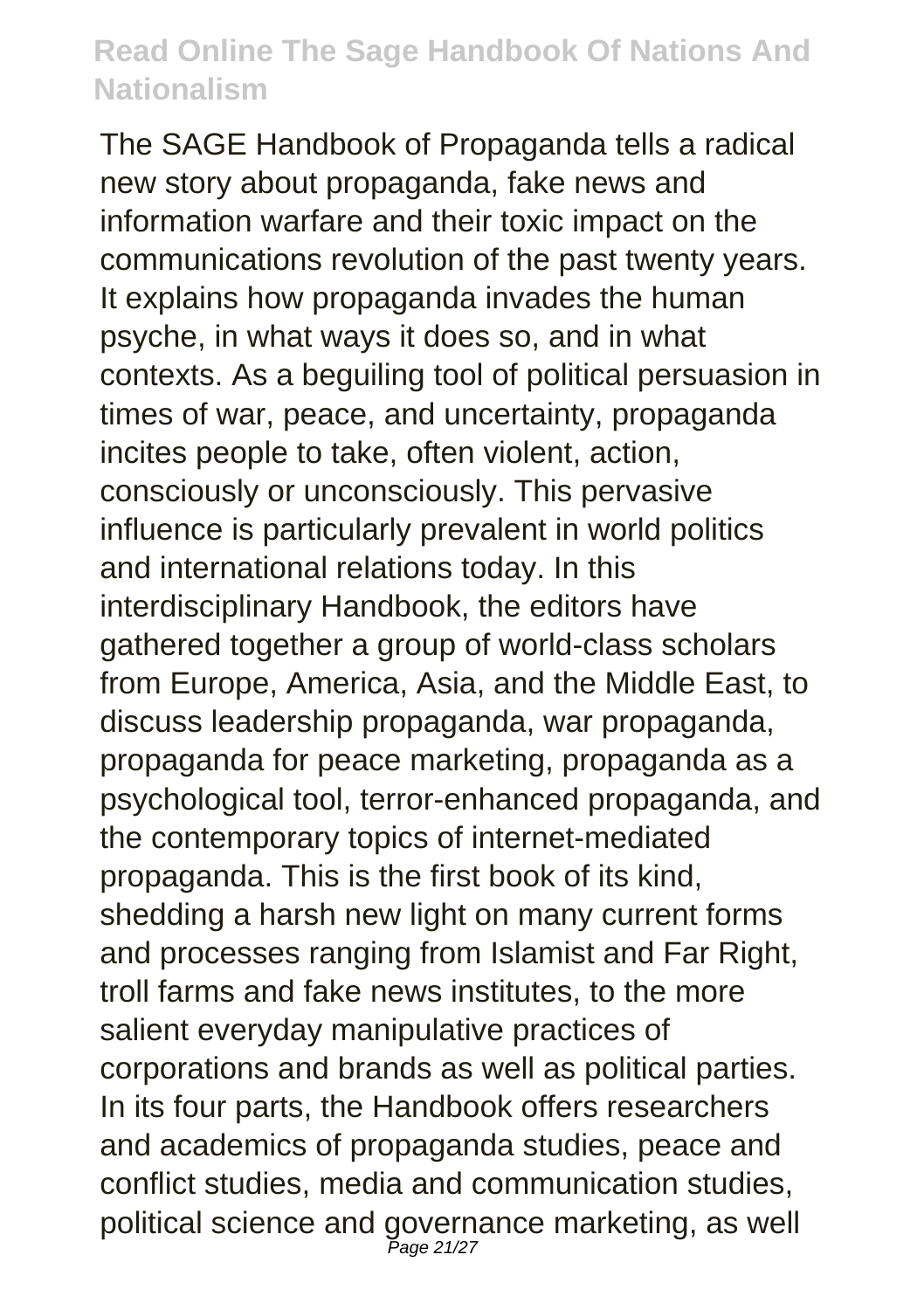The SAGE Handbook of Propaganda tells a radical new story about propaganda, fake news and information warfare and their toxic impact on the communications revolution of the past twenty years. It explains how propaganda invades the human psyche, in what ways it does so, and in what contexts. As a beguiling tool of political persuasion in times of war, peace, and uncertainty, propaganda incites people to take, often violent, action, consciously or unconsciously. This pervasive influence is particularly prevalent in world politics and international relations today. In this interdisciplinary Handbook, the editors have gathered together a group of world-class scholars from Europe, America, Asia, and the Middle East, to discuss leadership propaganda, war propaganda, propaganda for peace marketing, propaganda as a psychological tool, terror-enhanced propaganda, and the contemporary topics of internet-mediated propaganda. This is the first book of its kind, shedding a harsh new light on many current forms and processes ranging from Islamist and Far Right, troll farms and fake news institutes, to the more salient everyday manipulative practices of corporations and brands as well as political parties. In its four parts, the Handbook offers researchers and academics of propaganda studies, peace and conflict studies, media and communication studies, political science and governance marketing, as well Page 21/27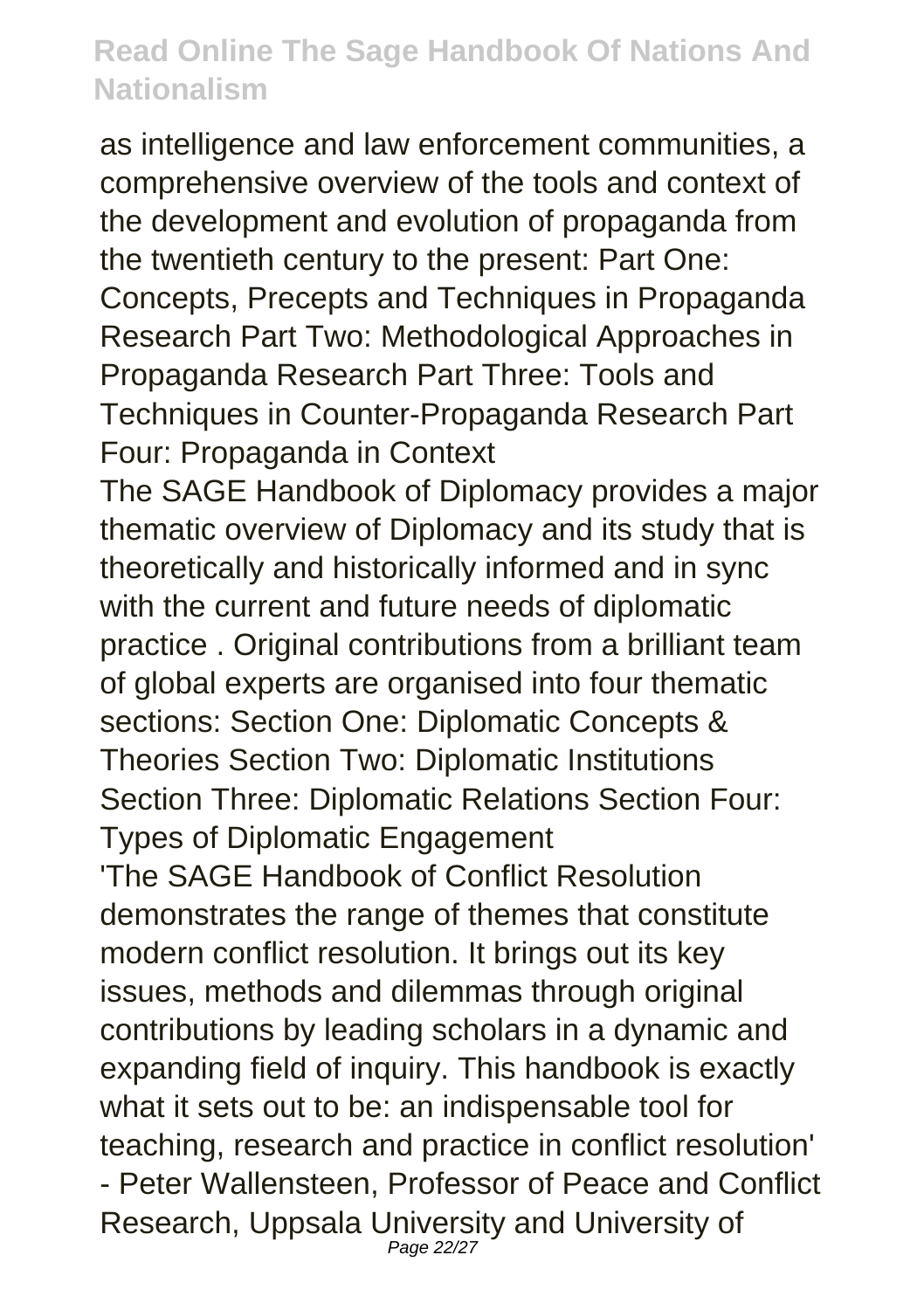as intelligence and law enforcement communities, a comprehensive overview of the tools and context of the development and evolution of propaganda from the twentieth century to the present: Part One: Concepts, Precepts and Techniques in Propaganda Research Part Two: Methodological Approaches in Propaganda Research Part Three: Tools and Techniques in Counter-Propaganda Research Part Four: Propaganda in Context

The SAGE Handbook of Diplomacy provides a major thematic overview of Diplomacy and its study that is theoretically and historically informed and in sync with the current and future needs of diplomatic practice . Original contributions from a brilliant team of global experts are organised into four thematic sections: Section One: Diplomatic Concepts & Theories Section Two: Diplomatic Institutions Section Three: Diplomatic Relations Section Four: Types of Diplomatic Engagement 'The SAGE Handbook of Conflict Resolution

demonstrates the range of themes that constitute modern conflict resolution. It brings out its key issues, methods and dilemmas through original contributions by leading scholars in a dynamic and expanding field of inquiry. This handbook is exactly what it sets out to be: an indispensable tool for teaching, research and practice in conflict resolution' - Peter Wallensteen, Professor of Peace and Conflict Research, Uppsala University and University of Page 22/27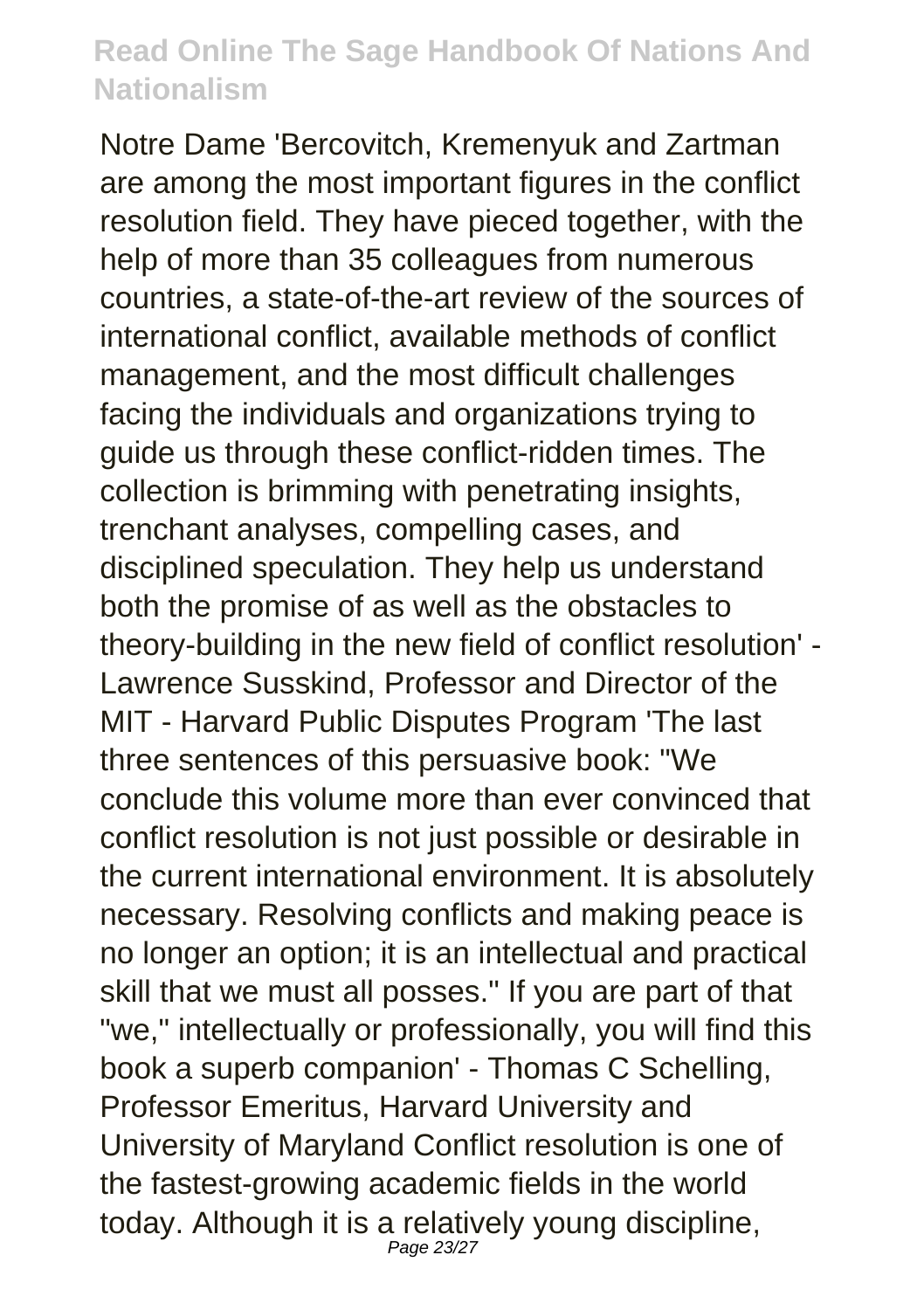Notre Dame 'Bercovitch, Kremenyuk and Zartman are among the most important figures in the conflict resolution field. They have pieced together, with the help of more than 35 colleagues from numerous countries, a state-of-the-art review of the sources of international conflict, available methods of conflict management, and the most difficult challenges facing the individuals and organizations trying to guide us through these conflict-ridden times. The collection is brimming with penetrating insights, trenchant analyses, compelling cases, and disciplined speculation. They help us understand both the promise of as well as the obstacles to theory-building in the new field of conflict resolution' - Lawrence Susskind, Professor and Director of the MIT - Harvard Public Disputes Program 'The last three sentences of this persuasive book: "We conclude this volume more than ever convinced that conflict resolution is not just possible or desirable in the current international environment. It is absolutely necessary. Resolving conflicts and making peace is no longer an option; it is an intellectual and practical skill that we must all posses." If you are part of that "we," intellectually or professionally, you will find this book a superb companion' - Thomas C Schelling, Professor Emeritus, Harvard University and University of Maryland Conflict resolution is one of the fastest-growing academic fields in the world today. Although it is a relatively young discipline, Page 23/27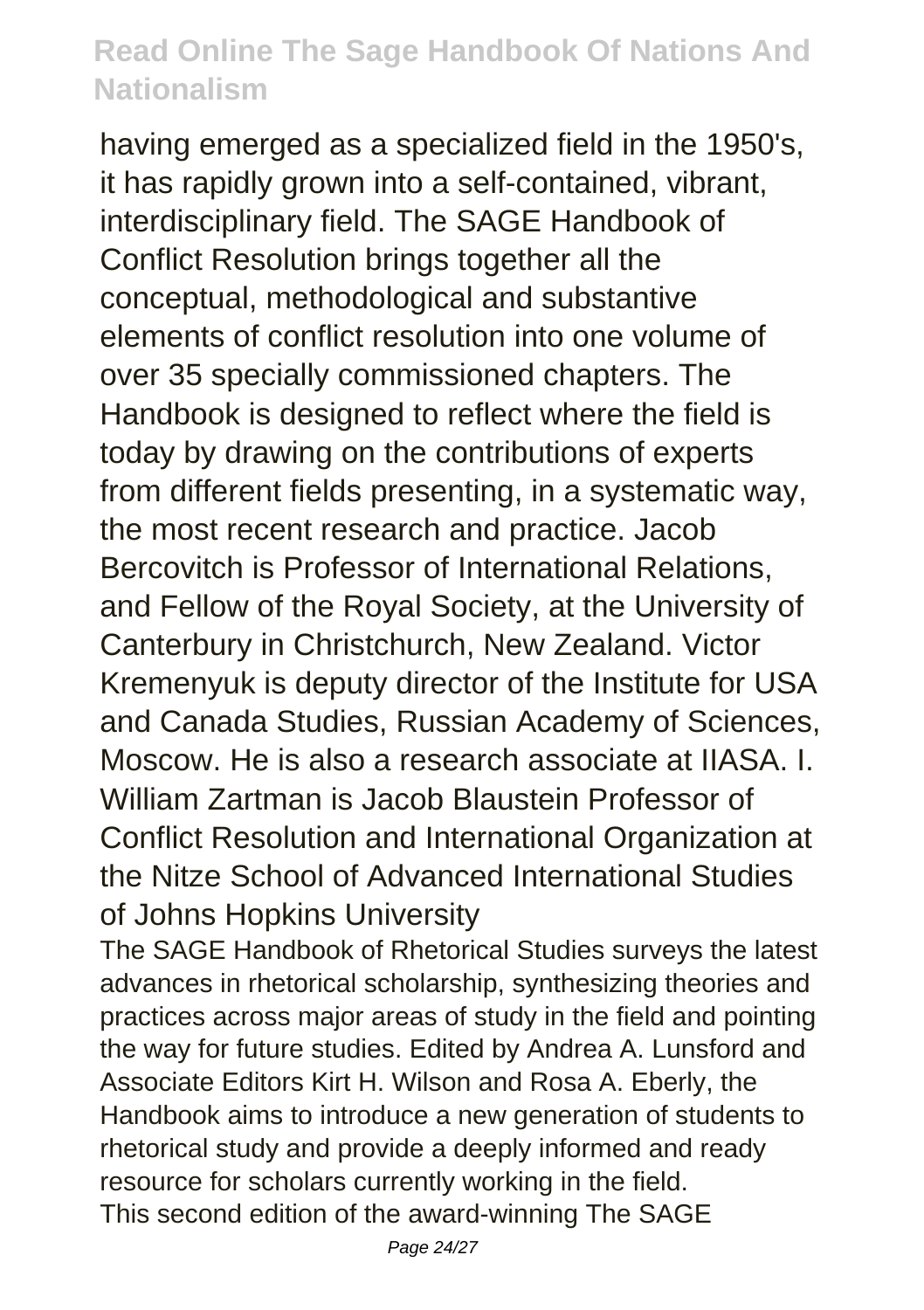having emerged as a specialized field in the 1950's, it has rapidly grown into a self-contained, vibrant, interdisciplinary field. The SAGE Handbook of Conflict Resolution brings together all the conceptual, methodological and substantive elements of conflict resolution into one volume of over 35 specially commissioned chapters. The Handbook is designed to reflect where the field is today by drawing on the contributions of experts from different fields presenting, in a systematic way, the most recent research and practice. Jacob Bercovitch is Professor of International Relations, and Fellow of the Royal Society, at the University of Canterbury in Christchurch, New Zealand. Victor Kremenyuk is deputy director of the Institute for USA and Canada Studies, Russian Academy of Sciences, Moscow. He is also a research associate at IIASA. I. William Zartman is Jacob Blaustein Professor of Conflict Resolution and International Organization at the Nitze School of Advanced International Studies of Johns Hopkins University

The SAGE Handbook of Rhetorical Studies surveys the latest advances in rhetorical scholarship, synthesizing theories and practices across major areas of study in the field and pointing the way for future studies. Edited by Andrea A. Lunsford and Associate Editors Kirt H. Wilson and Rosa A. Eberly, the Handbook aims to introduce a new generation of students to rhetorical study and provide a deeply informed and ready resource for scholars currently working in the field. This second edition of the award-winning The SAGE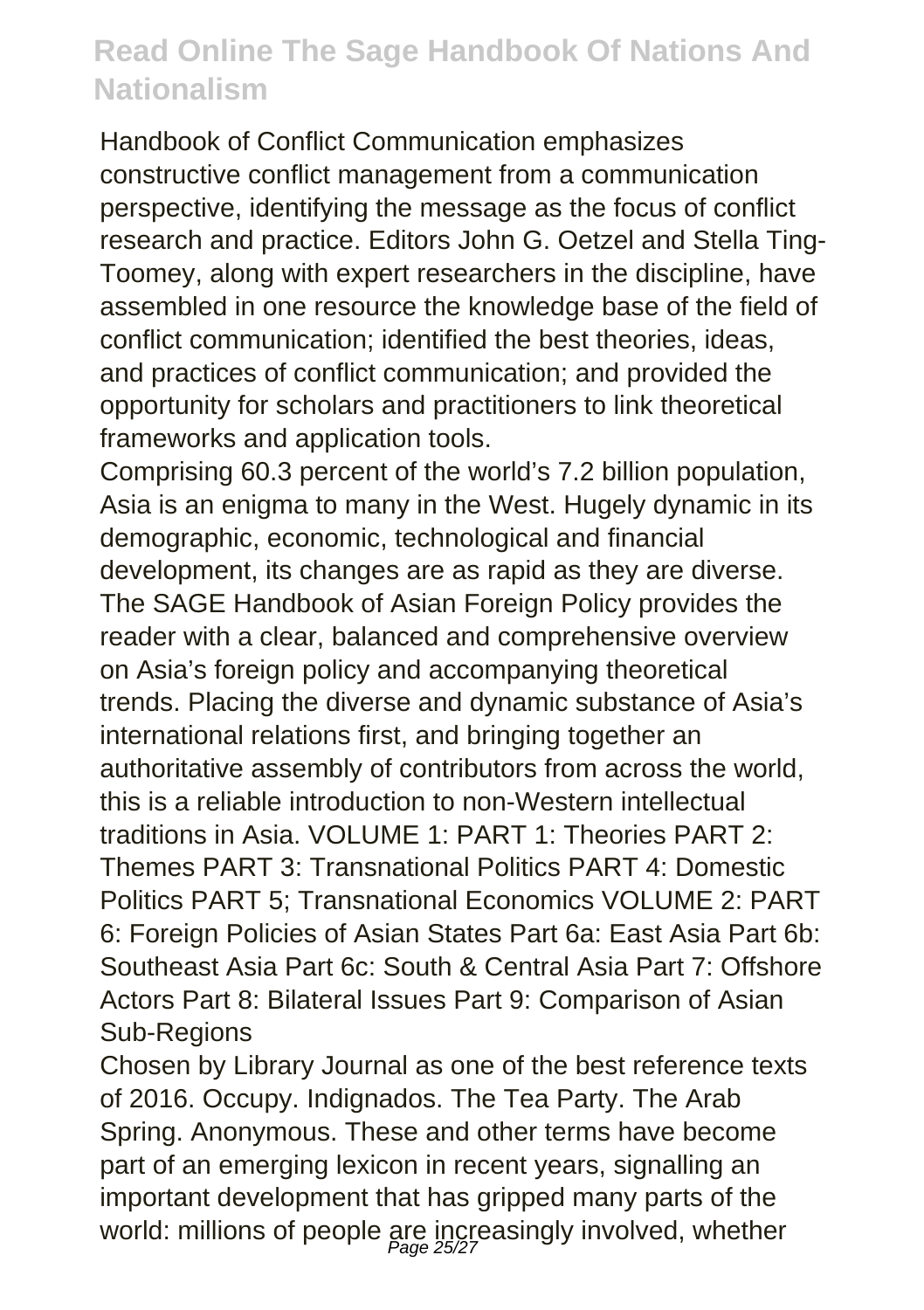Handbook of Conflict Communication emphasizes constructive conflict management from a communication perspective, identifying the message as the focus of conflict research and practice. Editors John G. Oetzel and Stella Ting-Toomey, along with expert researchers in the discipline, have assembled in one resource the knowledge base of the field of conflict communication; identified the best theories, ideas, and practices of conflict communication; and provided the opportunity for scholars and practitioners to link theoretical frameworks and application tools.

Comprising 60.3 percent of the world's 7.2 billion population, Asia is an enigma to many in the West. Hugely dynamic in its demographic, economic, technological and financial development, its changes are as rapid as they are diverse. The SAGE Handbook of Asian Foreign Policy provides the reader with a clear, balanced and comprehensive overview on Asia's foreign policy and accompanying theoretical trends. Placing the diverse and dynamic substance of Asia's international relations first, and bringing together an authoritative assembly of contributors from across the world, this is a reliable introduction to non-Western intellectual traditions in Asia. VOLUME 1: PART 1: Theories PART 2: Themes PART 3: Transnational Politics PART 4: Domestic Politics PART 5; Transnational Economics VOLUME 2: PART 6: Foreign Policies of Asian States Part 6a: East Asia Part 6b: Southeast Asia Part 6c: South & Central Asia Part 7: Offshore Actors Part 8: Bilateral Issues Part 9: Comparison of Asian Sub-Regions

Chosen by Library Journal as one of the best reference texts of 2016. Occupy. Indignados. The Tea Party. The Arab Spring. Anonymous. These and other terms have become part of an emerging lexicon in recent years, signalling an important development that has gripped many parts of the world: millions of people are increasingly involved, whether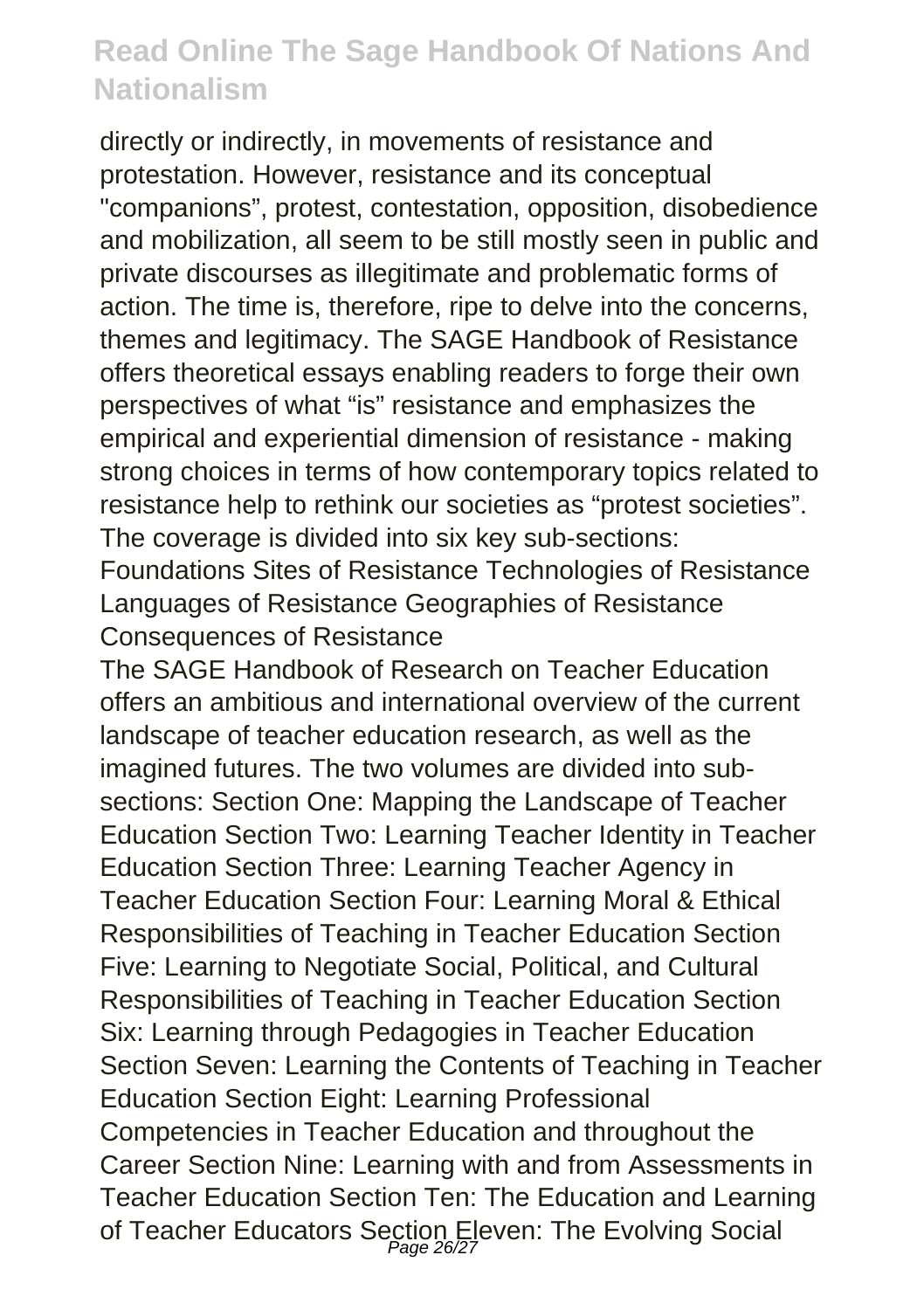directly or indirectly, in movements of resistance and protestation. However, resistance and its conceptual "companions", protest, contestation, opposition, disobedience and mobilization, all seem to be still mostly seen in public and private discourses as illegitimate and problematic forms of action. The time is, therefore, ripe to delve into the concerns, themes and legitimacy. The SAGE Handbook of Resistance offers theoretical essays enabling readers to forge their own perspectives of what "is" resistance and emphasizes the empirical and experiential dimension of resistance - making strong choices in terms of how contemporary topics related to resistance help to rethink our societies as "protest societies". The coverage is divided into six key sub-sections:

Foundations Sites of Resistance Technologies of Resistance Languages of Resistance Geographies of Resistance Consequences of Resistance

The SAGE Handbook of Research on Teacher Education offers an ambitious and international overview of the current landscape of teacher education research, as well as the imagined futures. The two volumes are divided into subsections: Section One: Mapping the Landscape of Teacher Education Section Two: Learning Teacher Identity in Teacher Education Section Three: Learning Teacher Agency in Teacher Education Section Four: Learning Moral & Ethical Responsibilities of Teaching in Teacher Education Section Five: Learning to Negotiate Social, Political, and Cultural Responsibilities of Teaching in Teacher Education Section Six: Learning through Pedagogies in Teacher Education Section Seven: Learning the Contents of Teaching in Teacher Education Section Eight: Learning Professional Competencies in Teacher Education and throughout the Career Section Nine: Learning with and from Assessments in Teacher Education Section Ten: The Education and Learning of Teacher Educators Section Eleven: The Evolving Social